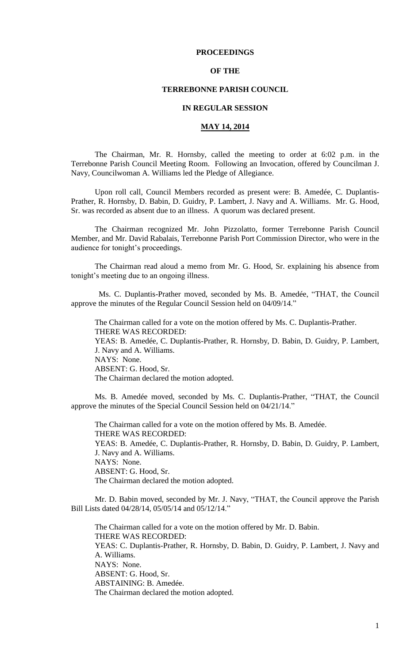## **PROCEEDINGS**

### **OF THE**

## **TERREBONNE PARISH COUNCIL**

# **IN REGULAR SESSION**

# **MAY 14, 2014**

The Chairman, Mr. R. Hornsby, called the meeting to order at 6:02 p.m. in the Terrebonne Parish Council Meeting Room. Following an Invocation, offered by Councilman J. Navy, Councilwoman A. Williams led the Pledge of Allegiance.

Upon roll call, Council Members recorded as present were: B. Amedée, C. Duplantis-Prather, R. Hornsby, D. Babin, D. Guidry, P. Lambert, J. Navy and A. Williams. Mr. G. Hood, Sr. was recorded as absent due to an illness. A quorum was declared present.

The Chairman recognized Mr. John Pizzolatto, former Terrebonne Parish Council Member, and Mr. David Rabalais, Terrebonne Parish Port Commission Director, who were in the audience for tonight's proceedings.

The Chairman read aloud a memo from Mr. G. Hood, Sr. explaining his absence from tonight's meeting due to an ongoing illness.

 Ms. C. Duplantis-Prather moved, seconded by Ms. B. Amedée, "THAT, the Council approve the minutes of the Regular Council Session held on 04/09/14."

The Chairman called for a vote on the motion offered by Ms. C. Duplantis-Prather. THERE WAS RECORDED: YEAS: B. Amedée, C. Duplantis-Prather, R. Hornsby, D. Babin, D. Guidry, P. Lambert, J. Navy and A. Williams. NAYS: None. ABSENT: G. Hood, Sr. The Chairman declared the motion adopted.

Ms. B. Amedée moved, seconded by Ms. C. Duplantis-Prather, "THAT, the Council approve the minutes of the Special Council Session held on 04/21/14."

The Chairman called for a vote on the motion offered by Ms. B. Amedée. THERE WAS RECORDED: YEAS: B. Amedée, C. Duplantis-Prather, R. Hornsby, D. Babin, D. Guidry, P. Lambert, J. Navy and A. Williams. NAYS: None. ABSENT: G. Hood, Sr. The Chairman declared the motion adopted.

Mr. D. Babin moved, seconded by Mr. J. Navy, "THAT, the Council approve the Parish Bill Lists dated 04/28/14, 05/05/14 and 05/12/14."

The Chairman called for a vote on the motion offered by Mr. D. Babin. THERE WAS RECORDED: YEAS: C. Duplantis-Prather, R. Hornsby, D. Babin, D. Guidry, P. Lambert, J. Navy and A. Williams. NAYS: None. ABSENT: G. Hood, Sr. ABSTAINING: B. Amedée. The Chairman declared the motion adopted.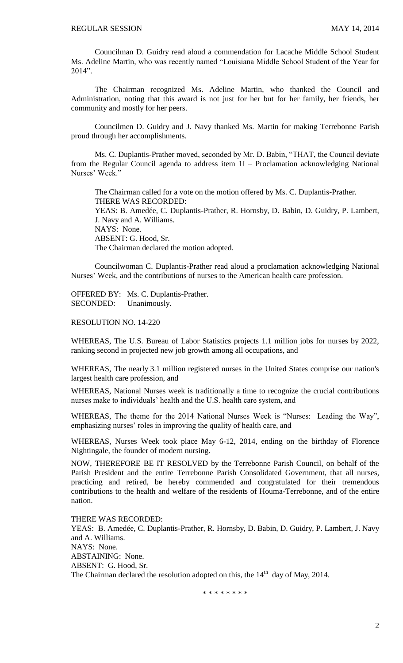Councilman D. Guidry read aloud a commendation for Lacache Middle School Student Ms. Adeline Martin, who was recently named "Louisiana Middle School Student of the Year for  $2014"$ 

The Chairman recognized Ms. Adeline Martin, who thanked the Council and Administration, noting that this award is not just for her but for her family, her friends, her community and mostly for her peers.

Councilmen D. Guidry and J. Navy thanked Ms. Martin for making Terrebonne Parish proud through her accomplishments.

Ms. C. Duplantis-Prather moved, seconded by Mr. D. Babin, "THAT, the Council deviate from the Regular Council agenda to address item 1I – Proclamation acknowledging National Nurses' Week."

The Chairman called for a vote on the motion offered by Ms. C. Duplantis-Prather. THERE WAS RECORDED: YEAS: B. Amedée, C. Duplantis-Prather, R. Hornsby, D. Babin, D. Guidry, P. Lambert, J. Navy and A. Williams. NAYS: None. ABSENT: G. Hood, Sr. The Chairman declared the motion adopted.

Councilwoman C. Duplantis-Prather read aloud a proclamation acknowledging National Nurses' Week, and the contributions of nurses to the American health care profession.

OFFERED BY: Ms. C. Duplantis-Prather. SECONDED: Unanimously.

RESOLUTION NO. 14-220

WHEREAS, The U.S. Bureau of Labor Statistics projects 1.1 million jobs for nurses by 2022, ranking second in projected new job growth among all occupations, and

WHEREAS, The nearly 3.1 million registered nurses in the United States comprise our nation's largest health care profession, and

WHEREAS, National Nurses week is traditionally a time to recognize the crucial contributions nurses make to individuals' health and the U.S. health care system, and

WHEREAS, The theme for the 2014 National Nurses Week is "Nurses: Leading the Way", emphasizing nurses' roles in improving the quality of health care, and

WHEREAS, Nurses Week took place May 6-12, 2014, ending on the birthday of Florence Nightingale, the founder of modern nursing.

NOW, THEREFORE BE IT RESOLVED by the Terrebonne Parish Council, on behalf of the Parish President and the entire Terrebonne Parish Consolidated Government, that all nurses, practicing and retired, be hereby commended and congratulated for their tremendous contributions to the health and welfare of the residents of Houma-Terrebonne, and of the entire nation.

THERE WAS RECORDED:

YEAS: B. Amedée, C. Duplantis-Prather, R. Hornsby, D. Babin, D. Guidry, P. Lambert, J. Navy and A. Williams. NAYS: None. ABSTAINING: None. ABSENT: G. Hood, Sr. The Chairman declared the resolution adopted on this, the  $14<sup>th</sup>$  day of May, 2014.

\* \* \* \* \* \* \* \*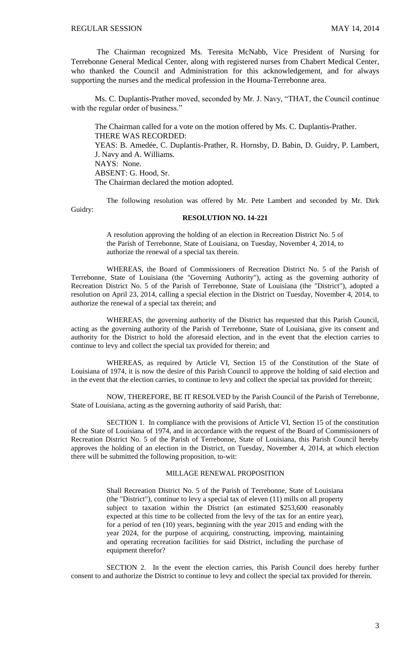The Chairman recognized Ms. Teresita McNabb, Vice President of Nursing for Terrebonne General Medical Center, along with registered nurses from Chabert Medical Center, who thanked the Council and Administration for this acknowledgement, and for always supporting the nurses and the medical profession in the Houma-Terrebonne area.

Ms. C. Duplantis-Prather moved, seconded by Mr. J. Navy, "THAT, the Council continue with the regular order of business."

The Chairman called for a vote on the motion offered by Ms. C. Duplantis-Prather. THERE WAS RECORDED: YEAS: B. Amedée, C. Duplantis-Prather, R. Hornsby, D. Babin, D. Guidry, P. Lambert, J. Navy and A. Williams. NAYS: None. ABSENT: G. Hood, Sr. The Chairman declared the motion adopted.

The following resolution was offered by Mr. Pete Lambert and seconded by Mr. Dirk

Guidry:

### **RESOLUTION NO. 14-221**

A resolution approving the holding of an election in Recreation District No. 5 of the Parish of Terrebonne, State of Louisiana, on Tuesday, November 4, 2014, to authorize the renewal of a special tax therein.

WHEREAS, the Board of Commissioners of Recreation District No. 5 of the Parish of Terrebonne, State of Louisiana (the "Governing Authority"), acting as the governing authority of Recreation District No. 5 of the Parish of Terrebonne, State of Louisiana (the "District"), adopted a resolution on April 23, 2014, calling a special election in the District on Tuesday, November 4, 2014, to authorize the renewal of a special tax therein; and

WHEREAS, the governing authority of the District has requested that this Parish Council, acting as the governing authority of the Parish of Terrebonne, State of Louisiana, give its consent and authority for the District to hold the aforesaid election, and in the event that the election carries to continue to levy and collect the special tax provided for therein; and

WHEREAS, as required by Article VI, Section 15 of the Constitution of the State of Louisiana of 1974, it is now the desire of this Parish Council to approve the holding of said election and in the event that the election carries, to continue to levy and collect the special tax provided for therein;

NOW, THEREFORE, BE IT RESOLVED by the Parish Council of the Parish of Terrebonne, State of Louisiana, acting as the governing authority of said Parish, that:

SECTION 1. In compliance with the provisions of Article VI, Section 15 of the constitution of the State of Louisiana of 1974, and in accordance with the request of the Board of Commissioners of Recreation District No. 5 of the Parish of Terrebonne, State of Louisiana, this Parish Council hereby approves the holding of an election in the District, on Tuesday, November 4, 2014, at which election there will be submitted the following proposition, to-wit:

#### MILLAGE RENEWAL PROPOSITION

Shall Recreation District No. 5 of the Parish of Terrebonne, State of Louisiana (the "District"), continue to levy a special tax of eleven (11) mills on all property subject to taxation within the District (an estimated \$253,600 reasonably expected at this time to be collected from the levy of the tax for an entire year), for a period of ten (10) years, beginning with the year 2015 and ending with the year 2024, for the purpose of acquiring, constructing, improving, maintaining and operating recreation facilities for said District, including the purchase of equipment therefor?

SECTION 2. In the event the election carries, this Parish Council does hereby further consent to and authorize the District to continue to levy and collect the special tax provided for therein.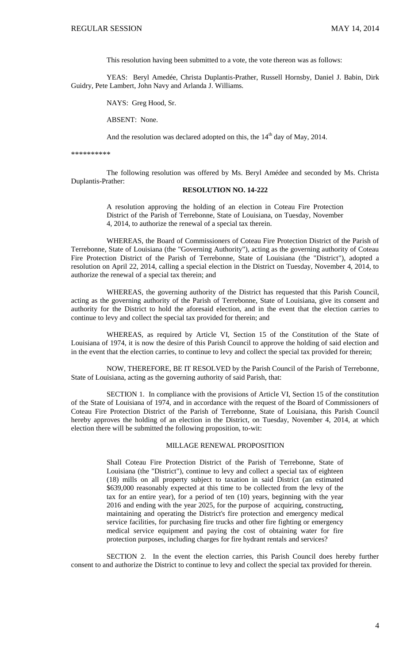This resolution having been submitted to a vote, the vote thereon was as follows:

YEAS: Beryl Amedée, Christa Duplantis-Prather, Russell Hornsby, Daniel J. Babin, Dirk Guidry, Pete Lambert, John Navy and Arlanda J. Williams.

NAYS: Greg Hood, Sr.

ABSENT: None.

And the resolution was declared adopted on this, the  $14<sup>th</sup>$  day of May, 2014.

\*\*\*\*\*\*\*\*\*\*

The following resolution was offered by Ms. Beryl Amédee and seconded by Ms. Christa Duplantis-Prather:

#### **RESOLUTION NO. 14-222**

A resolution approving the holding of an election in Coteau Fire Protection District of the Parish of Terrebonne, State of Louisiana, on Tuesday, November 4, 2014, to authorize the renewal of a special tax therein.

WHEREAS, the Board of Commissioners of Coteau Fire Protection District of the Parish of Terrebonne, State of Louisiana (the "Governing Authority"), acting as the governing authority of Coteau Fire Protection District of the Parish of Terrebonne, State of Louisiana (the "District"), adopted a resolution on April 22, 2014, calling a special election in the District on Tuesday, November 4, 2014, to authorize the renewal of a special tax therein; and

WHEREAS, the governing authority of the District has requested that this Parish Council, acting as the governing authority of the Parish of Terrebonne, State of Louisiana, give its consent and authority for the District to hold the aforesaid election, and in the event that the election carries to continue to levy and collect the special tax provided for therein; and

WHEREAS, as required by Article VI, Section 15 of the Constitution of the State of Louisiana of 1974, it is now the desire of this Parish Council to approve the holding of said election and in the event that the election carries, to continue to levy and collect the special tax provided for therein;

NOW, THEREFORE, BE IT RESOLVED by the Parish Council of the Parish of Terrebonne, State of Louisiana, acting as the governing authority of said Parish, that:

SECTION 1. In compliance with the provisions of Article VI, Section 15 of the constitution of the State of Louisiana of 1974, and in accordance with the request of the Board of Commissioners of Coteau Fire Protection District of the Parish of Terrebonne, State of Louisiana, this Parish Council hereby approves the holding of an election in the District, on Tuesday, November 4, 2014, at which election there will be submitted the following proposition, to-wit:

#### MILLAGE RENEWAL PROPOSITION

Shall Coteau Fire Protection District of the Parish of Terrebonne, State of Louisiana (the "District"), continue to levy and collect a special tax of eighteen (18) mills on all property subject to taxation in said District (an estimated \$639,000 reasonably expected at this time to be collected from the levy of the tax for an entire year), for a period of ten (10) years, beginning with the year 2016 and ending with the year 2025, for the purpose of acquiring, constructing, maintaining and operating the District's fire protection and emergency medical service facilities, for purchasing fire trucks and other fire fighting or emergency medical service equipment and paying the cost of obtaining water for fire protection purposes, including charges for fire hydrant rentals and services?

SECTION 2. In the event the election carries, this Parish Council does hereby further consent to and authorize the District to continue to levy and collect the special tax provided for therein.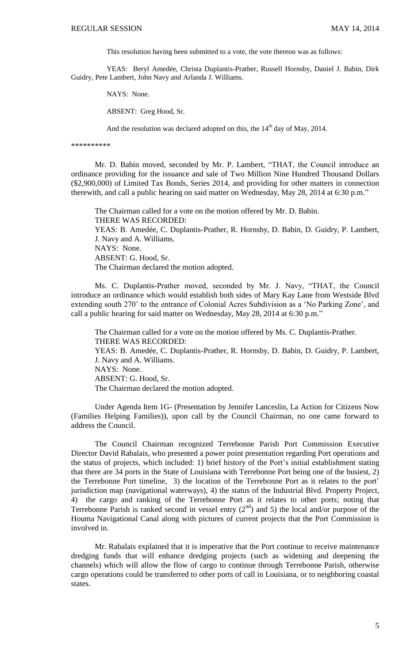This resolution having been submitted to a vote, the vote thereon was as follows:

YEAS: Beryl Amedée, Christa Duplantis-Prather, Russell Hornsby, Daniel J. Babin, Dirk Guidry, Pete Lambert, John Navy and Arlanda J. Williams.

NAYS: None.

ABSENT: Greg Hood, Sr.

And the resolution was declared adopted on this, the  $14<sup>th</sup>$  day of May, 2014.

\*\*\*\*\*\*\*\*\*\*

Mr. D. Babin moved, seconded by Mr. P. Lambert, "THAT, the Council introduce an ordinance providing for the issuance and sale of Two Million Nine Hundred Thousand Dollars (\$2,900,000) of Limited Tax Bonds, Series 2014, and providing for other matters in connection therewith, and call a public hearing on said matter on Wednesday, May 28, 2014 at 6:30 p.m."

The Chairman called for a vote on the motion offered by Mr. D. Babin. THERE WAS RECORDED: YEAS: B. Amedée, C. Duplantis-Prather, R. Hornsby, D. Babin, D. Guidry, P. Lambert, J. Navy and A. Williams. NAYS: None. ABSENT: G. Hood, Sr. The Chairman declared the motion adopted.

Ms. C. Duplantis-Prather moved, seconded by Mr. J. Navy, "THAT, the Council introduce an ordinance which would establish both sides of Mary Kay Lane from Westside Blvd extending south 270' to the entrance of Colonial Acres Subdivision as a 'No Parking Zone', and call a public hearing for said matter on Wednesday, May 28, 2014 at 6:30 p.m."

The Chairman called for a vote on the motion offered by Ms. C. Duplantis-Prather. THERE WAS RECORDED: YEAS: B. Amedée, C. Duplantis-Prather, R. Hornsby, D. Babin, D. Guidry, P. Lambert, J. Navy and A. Williams. NAYS: None. ABSENT: G. Hood, Sr. The Chairman declared the motion adopted.

Under Agenda Item 1G- (Presentation by Jennifer Lanceslin, La Action for Citizens Now (Families Helping Families)), upon call by the Council Chairman, no one came forward to address the Council.

The Council Chairman recognized Terrebonne Parish Port Commission Executive Director David Rabalais, who presented a power point presentation regarding Port operations and the status of projects, which included: 1) brief history of the Port's initial establishment stating that there are 34 ports in the State of Louisiana with Terrebonne Port being one of the busiest, 2) the Terrebonne Port timeline, 3) the location of the Terrebonne Port as it relates to the port' jurisdiction map (navigational waterways), 4) the status of the Industrial Blvd. Property Project, 4) the cargo and ranking of the Terrebonne Port as it relates to other ports; noting that Terrebonne Parish is ranked second in vessel entry  $(2<sup>nd</sup>)$  and 5) the local and/or purpose of the Houma Navigational Canal along with pictures of current projects that the Port Commission is involved in.

Mr. Rabalais explained that it is imperative that the Port continue to receive maintenance dredging funds that will enhance dredging projects (such as widening and deepening the channels) which will allow the flow of cargo to continue through Terrebonne Parish, otherwise cargo operations could be transferred to other ports of call in Louisiana, or to neighboring coastal states.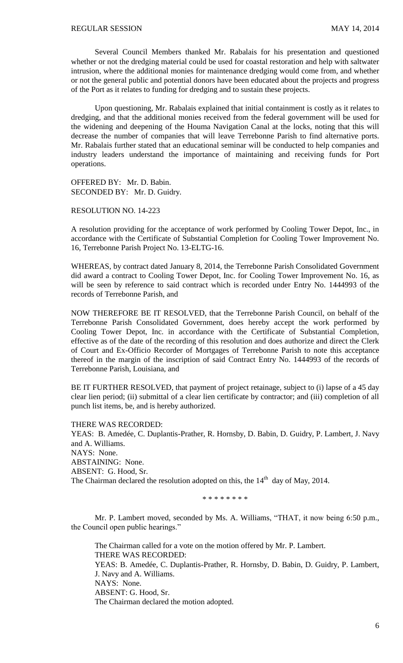Several Council Members thanked Mr. Rabalais for his presentation and questioned whether or not the dredging material could be used for coastal restoration and help with saltwater intrusion, where the additional monies for maintenance dredging would come from, and whether or not the general public and potential donors have been educated about the projects and progress of the Port as it relates to funding for dredging and to sustain these projects.

Upon questioning, Mr. Rabalais explained that initial containment is costly as it relates to dredging, and that the additional monies received from the federal government will be used for the widening and deepening of the Houma Navigation Canal at the locks, noting that this will decrease the number of companies that will leave Terrebonne Parish to find alternative ports. Mr. Rabalais further stated that an educational seminar will be conducted to help companies and industry leaders understand the importance of maintaining and receiving funds for Port operations.

OFFERED BY: Mr. D. Babin. SECONDED BY: Mr. D. Guidry.

RESOLUTION NO. 14-223

A resolution providing for the acceptance of work performed by Cooling Tower Depot, Inc., in accordance with the Certificate of Substantial Completion for Cooling Tower Improvement No. 16, Terrebonne Parish Project No. 13-ELTG-16.

WHEREAS, by contract dated January 8, 2014, the Terrebonne Parish Consolidated Government did award a contract to Cooling Tower Depot, Inc. for Cooling Tower Improvement No. 16, as will be seen by reference to said contract which is recorded under Entry No. 1444993 of the records of Terrebonne Parish, and

NOW THEREFORE BE IT RESOLVED, that the Terrebonne Parish Council, on behalf of the Terrebonne Parish Consolidated Government, does hereby accept the work performed by Cooling Tower Depot, Inc. in accordance with the Certificate of Substantial Completion, effective as of the date of the recording of this resolution and does authorize and direct the Clerk of Court and Ex-Officio Recorder of Mortgages of Terrebonne Parish to note this acceptance thereof in the margin of the inscription of said Contract Entry No. 1444993 of the records of Terrebonne Parish, Louisiana, and

BE IT FURTHER RESOLVED, that payment of project retainage, subject to (i) lapse of a 45 day clear lien period; (ii) submittal of a clear lien certificate by contractor; and (iii) completion of all punch list items, be, and is hereby authorized.

THERE WAS RECORDED: YEAS: B. Amedée, C. Duplantis-Prather, R. Hornsby, D. Babin, D. Guidry, P. Lambert, J. Navy and A. Williams. NAYS: None. ABSTAINING: None. ABSENT: G. Hood, Sr. The Chairman declared the resolution adopted on this, the  $14<sup>th</sup>$  day of May, 2014.

\* \* \* \* \* \* \* \*

Mr. P. Lambert moved, seconded by Ms. A. Williams, "THAT, it now being 6:50 p.m., the Council open public hearings."

The Chairman called for a vote on the motion offered by Mr. P. Lambert. THERE WAS RECORDED: YEAS: B. Amedée, C. Duplantis-Prather, R. Hornsby, D. Babin, D. Guidry, P. Lambert, J. Navy and A. Williams. NAYS: None. ABSENT: G. Hood, Sr. The Chairman declared the motion adopted.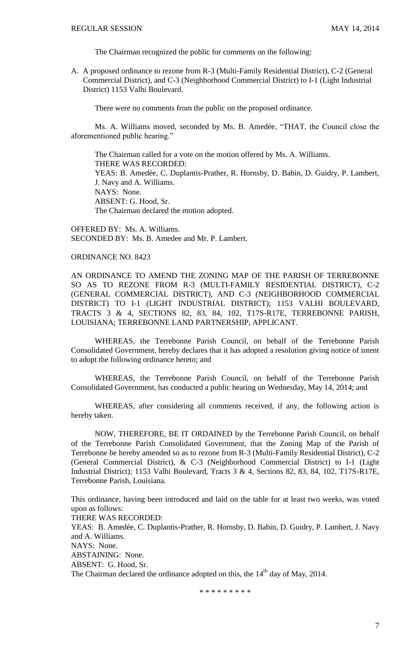The Chairman recognized the public for comments on the following:

A. A proposed ordinance to rezone from R-3 (Multi-Family Residential District), C-2 (General Commercial District), and C-3 (Neighborhood Commercial District) to I-1 (Light Industrial District) 1153 Valhi Boulevard.

There were no comments from the public on the proposed ordinance.

Ms. A. Williams moved, seconded by Ms. B. Amedée, "THAT, the Council close the aforementioned public hearing."

The Chairman called for a vote on the motion offered by Ms. A. Williams. THERE WAS RECORDED: YEAS: B. Amedée, C. Duplantis-Prather, R. Hornsby, D. Babin, D. Guidry, P. Lambert, J. Navy and A. Williams. NAYS: None. ABSENT: G. Hood, Sr. The Chairman declared the motion adopted.

OFFERED BY: Ms. A. Williams. SECONDED BY: Ms. B. Amedee and Mr. P. Lambert.

# ORDINANCE NO. 8423

AN ORDINANCE TO AMEND THE ZONING MAP OF THE PARISH OF TERREBONNE SO AS TO REZONE FROM R-3 (MULTI-FAMILY RESIDENTIAL DISTRICT), C-2 (GENERAL COMMERCIAL DISTRICT), AND C-3 (NEIGHBORHOOD COMMERCIAL DISTRICT) TO I-1 (LIGHT INDUSTRIAL DISTRICT); 1153 VALHI BOULEVARD, TRACTS 3 & 4, SECTIONS 82, 83, 84, 102, T17S-R17E, TERREBONNE PARISH, LOUISIANA; TERREBONNE LAND PARTNERSHIP, APPLICANT.

WHEREAS, the Terrebonne Parish Council, on behalf of the Terrebonne Parish Consolidated Government, hereby declares that it has adopted a resolution giving notice of intent to adopt the following ordinance hereto; and

WHEREAS, the Terrebonne Parish Council, on behalf of the Terrebonne Parish Consolidated Government, has conducted a public hearing on Wednesday, May 14, 2014; and

WHEREAS, after considering all comments received, if any, the following action is hereby taken.

NOW, THEREFORE, BE IT ORDAINED by the Terrebonne Parish Council, on behalf of the Terrebonne Parish Consolidated Government, that the Zoning Map of the Parish of Terrebonne be hereby amended so as to rezone from R-3 (Multi-Family Residential District), C-2 (General Commercial District), & C-3 (Neighborhood Commercial District) to I-1 (Light Industrial District); 1153 Valhi Boulevard, Tracts 3 & 4, Sections 82, 83, 84, 102, T17S-R17E, Terrebonne Parish, Louisiana.

This ordinance, having been introduced and laid on the table for at least two weeks, was voted upon as follows:

THERE WAS RECORDED:

YEAS: B. Amedée, C. Duplantis-Prather, R. Hornsby, D. Babin, D. Guidry, P. Lambert, J. Navy and A. Williams. NAYS: None. ABSTAINING: None. ABSENT: G. Hood, Sr. The Chairman declared the ordinance adopted on this, the  $14<sup>th</sup>$  day of May, 2014.

\* \* \* \* \* \* \* \* \*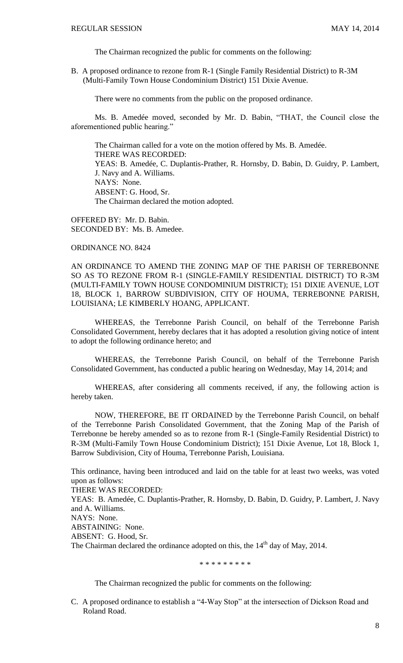The Chairman recognized the public for comments on the following:

B. A proposed ordinance to rezone from R-1 (Single Family Residential District) to R-3M (Multi-Family Town House Condominium District) 151 Dixie Avenue.

There were no comments from the public on the proposed ordinance.

Ms. B. Amedée moved, seconded by Mr. D. Babin, "THAT, the Council close the aforementioned public hearing."

The Chairman called for a vote on the motion offered by Ms. B. Amedée. THERE WAS RECORDED: YEAS: B. Amedée, C. Duplantis-Prather, R. Hornsby, D. Babin, D. Guidry, P. Lambert, J. Navy and A. Williams. NAYS: None. ABSENT: G. Hood, Sr. The Chairman declared the motion adopted.

OFFERED BY: Mr. D. Babin. SECONDED BY: Ms. B. Amedee.

## ORDINANCE NO. 8424

AN ORDINANCE TO AMEND THE ZONING MAP OF THE PARISH OF TERREBONNE SO AS TO REZONE FROM R-1 (SINGLE-FAMILY RESIDENTIAL DISTRICT) TO R-3M (MULTI-FAMILY TOWN HOUSE CONDOMINIUM DISTRICT); 151 DIXIE AVENUE, LOT 18, BLOCK 1, BARROW SUBDIVISION, CITY OF HOUMA, TERREBONNE PARISH, LOUISIANA; LE KIMBERLY HOANG, APPLICANT.

WHEREAS, the Terrebonne Parish Council, on behalf of the Terrebonne Parish Consolidated Government, hereby declares that it has adopted a resolution giving notice of intent to adopt the following ordinance hereto; and

WHEREAS, the Terrebonne Parish Council, on behalf of the Terrebonne Parish Consolidated Government, has conducted a public hearing on Wednesday, May 14, 2014; and

WHEREAS, after considering all comments received, if any, the following action is hereby taken.

NOW, THEREFORE, BE IT ORDAINED by the Terrebonne Parish Council, on behalf of the Terrebonne Parish Consolidated Government, that the Zoning Map of the Parish of Terrebonne be hereby amended so as to rezone from R-1 (Single-Family Residential District) to R-3M (Multi-Family Town House Condominium District); 151 Dixie Avenue, Lot 18, Block 1, Barrow Subdivision, City of Houma, Terrebonne Parish, Louisiana.

This ordinance, having been introduced and laid on the table for at least two weeks, was voted upon as follows:

THERE WAS RECORDED:

YEAS: B. Amedée, C. Duplantis-Prather, R. Hornsby, D. Babin, D. Guidry, P. Lambert, J. Navy and A. Williams.

NAYS: None.

ABSTAINING: None.

ABSENT: G. Hood, Sr.

The Chairman declared the ordinance adopted on this, the  $14<sup>th</sup>$  day of May, 2014.

\* \* \* \* \* \* \* \* \*

The Chairman recognized the public for comments on the following:

C. A proposed ordinance to establish a "4-Way Stop" at the intersection of Dickson Road and Roland Road.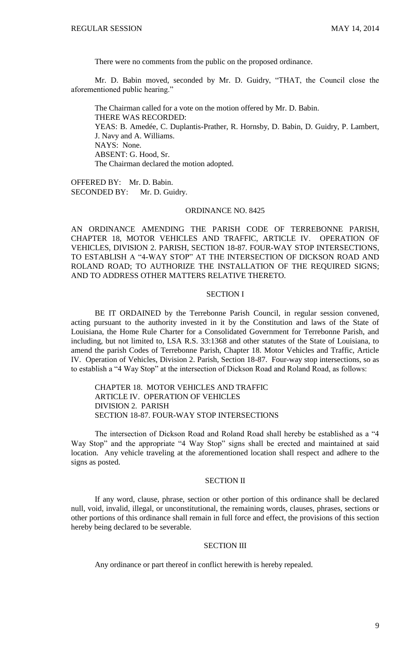There were no comments from the public on the proposed ordinance.

Mr. D. Babin moved, seconded by Mr. D. Guidry, "THAT, the Council close the aforementioned public hearing."

The Chairman called for a vote on the motion offered by Mr. D. Babin. THERE WAS RECORDED: YEAS: B. Amedée, C. Duplantis-Prather, R. Hornsby, D. Babin, D. Guidry, P. Lambert, J. Navy and A. Williams. NAYS: None. ABSENT: G. Hood, Sr. The Chairman declared the motion adopted.

OFFERED BY: Mr. D. Babin. SECONDED BY: Mr. D. Guidry.

### ORDINANCE NO. 8425

AN ORDINANCE AMENDING THE PARISH CODE OF TERREBONNE PARISH, CHAPTER 18, MOTOR VEHICLES AND TRAFFIC, ARTICLE IV. OPERATION OF VEHICLES, DIVISION 2. PARISH, SECTION 18-87. FOUR-WAY STOP INTERSECTIONS, TO ESTABLISH A "4-WAY STOP" AT THE INTERSECTION OF DICKSON ROAD AND ROLAND ROAD; TO AUTHORIZE THE INSTALLATION OF THE REQUIRED SIGNS; AND TO ADDRESS OTHER MATTERS RELATIVE THERETO.

### SECTION I

BE IT ORDAINED by the Terrebonne Parish Council, in regular session convened, acting pursuant to the authority invested in it by the Constitution and laws of the State of Louisiana, the Home Rule Charter for a Consolidated Government for Terrebonne Parish, and including, but not limited to, LSA R.S. 33:1368 and other statutes of the State of Louisiana, to amend the parish Codes of Terrebonne Parish, Chapter 18. Motor Vehicles and Traffic, Article IV. Operation of Vehicles, Division 2. Parish, Section 18-87. Four-way stop intersections, so as to establish a "4 Way Stop" at the intersection of Dickson Road and Roland Road, as follows:

CHAPTER 18. MOTOR VEHICLES AND TRAFFIC ARTICLE IV. OPERATION OF VEHICLES DIVISION 2. PARISH SECTION 18-87. FOUR-WAY STOP INTERSECTIONS

The intersection of Dickson Road and Roland Road shall hereby be established as a "4 Way Stop" and the appropriate "4 Way Stop" signs shall be erected and maintained at said location. Any vehicle traveling at the aforementioned location shall respect and adhere to the signs as posted.

# SECTION II

If any word, clause, phrase, section or other portion of this ordinance shall be declared null, void, invalid, illegal, or unconstitutional, the remaining words, clauses, phrases, sections or other portions of this ordinance shall remain in full force and effect, the provisions of this section hereby being declared to be severable.

### SECTION III

Any ordinance or part thereof in conflict herewith is hereby repealed.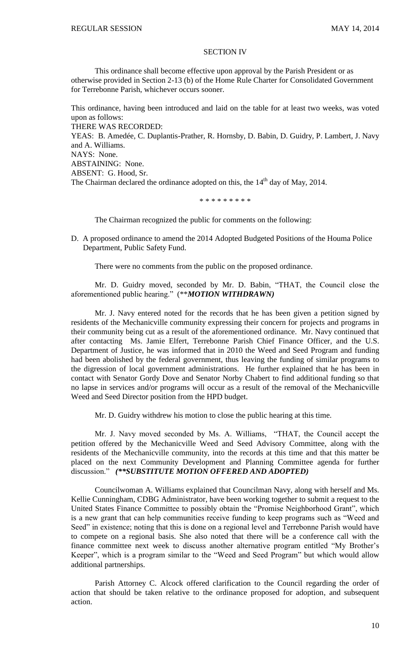### SECTION IV

This ordinance shall become effective upon approval by the Parish President or as otherwise provided in Section 2-13 (b) of the Home Rule Charter for Consolidated Government for Terrebonne Parish, whichever occurs sooner.

This ordinance, having been introduced and laid on the table for at least two weeks, was voted upon as follows:

THERE WAS RECORDED:

YEAS: B. Amedée, C. Duplantis-Prather, R. Hornsby, D. Babin, D. Guidry, P. Lambert, J. Navy and A. Williams.

NAYS: None.

ABSTAINING: None.

ABSENT: G. Hood, Sr.

The Chairman declared the ordinance adopted on this, the  $14<sup>th</sup>$  day of May, 2014.

\* \* \* \* \* \* \* \* \*

The Chairman recognized the public for comments on the following:

D. A proposed ordinance to amend the 2014 Adopted Budgeted Positions of the Houma Police Department, Public Safety Fund.

There were no comments from the public on the proposed ordinance.

Mr. D. Guidry moved, seconded by Mr. D. Babin, "THAT, the Council close the aforementioned public hearing." (\*\**MOTION WITHDRAWN)*

Mr. J. Navy entered noted for the records that he has been given a petition signed by residents of the Mechanicville community expressing their concern for projects and programs in their community being cut as a result of the aforementioned ordinance. Mr. Navy continued that after contacting Ms. Jamie Elfert, Terrebonne Parish Chief Finance Officer, and the U.S. Department of Justice, he was informed that in 2010 the Weed and Seed Program and funding had been abolished by the federal government, thus leaving the funding of similar programs to the digression of local government administrations. He further explained that he has been in contact with Senator Gordy Dove and Senator Norby Chabert to find additional funding so that no lapse in services and/or programs will occur as a result of the removal of the Mechanicville Weed and Seed Director position from the HPD budget.

Mr. D. Guidry withdrew his motion to close the public hearing at this time.

Mr. J. Navy moved seconded by Ms. A. Williams, "THAT, the Council accept the petition offered by the Mechanicville Weed and Seed Advisory Committee, along with the residents of the Mechanicville community, into the records at this time and that this matter be placed on the next Community Development and Planning Committee agenda for further discussion." *(\*\*SUBSTITUTE MOTION OFFERED AND ADOPTED)*

Councilwoman A. Williams explained that Councilman Navy, along with herself and Ms. Kellie Cunningham, CDBG Administrator, have been working together to submit a request to the United States Finance Committee to possibly obtain the "Promise Neighborhood Grant", which is a new grant that can help communities receive funding to keep programs such as "Weed and Seed" in existence; noting that this is done on a regional level and Terrebonne Parish would have to compete on a regional basis. She also noted that there will be a conference call with the finance committee next week to discuss another alternative program entitled "My Brother's Keeper", which is a program similar to the "Weed and Seed Program" but which would allow additional partnerships.

Parish Attorney C. Alcock offered clarification to the Council regarding the order of action that should be taken relative to the ordinance proposed for adoption, and subsequent action.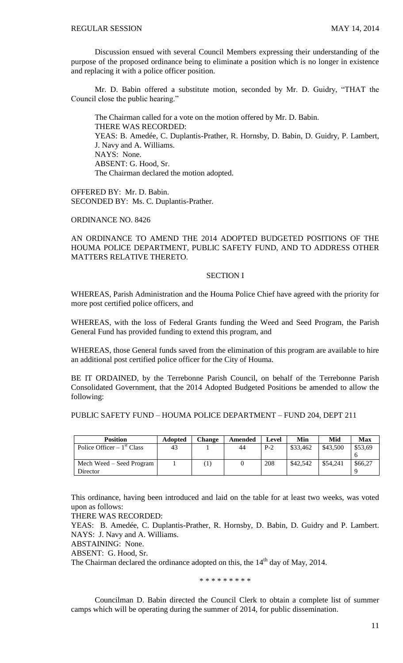Discussion ensued with several Council Members expressing their understanding of the purpose of the proposed ordinance being to eliminate a position which is no longer in existence and replacing it with a police officer position.

Mr. D. Babin offered a substitute motion, seconded by Mr. D. Guidry, "THAT the Council close the public hearing."

The Chairman called for a vote on the motion offered by Mr. D. Babin. THERE WAS RECORDED: YEAS: B. Amedée, C. Duplantis-Prather, R. Hornsby, D. Babin, D. Guidry, P. Lambert, J. Navy and A. Williams. NAYS: None. ABSENT: G. Hood, Sr. The Chairman declared the motion adopted.

OFFERED BY: Mr. D. Babin. SECONDED BY: Ms. C. Duplantis-Prather.

ORDINANCE NO. 8426

AN ORDINANCE TO AMEND THE 2014 ADOPTED BUDGETED POSITIONS OF THE HOUMA POLICE DEPARTMENT, PUBLIC SAFETY FUND, AND TO ADDRESS OTHER MATTERS RELATIVE THERETO.

#### SECTION I

WHEREAS, Parish Administration and the Houma Police Chief have agreed with the priority for more post certified police officers, and

WHEREAS, with the loss of Federal Grants funding the Weed and Seed Program, the Parish General Fund has provided funding to extend this program, and

WHEREAS, those General funds saved from the elimination of this program are available to hire an additional post certified police officer for the City of Houma.

BE IT ORDAINED, by the Terrebonne Parish Council, on behalf of the Terrebonne Parish Consolidated Government, that the 2014 Adopted Budgeted Positions be amended to allow the following:

PUBLIC SAFETY FUND – HOUMA POLICE DEPARTMENT – FUND 204, DEPT 211

| <b>Position</b>             | <b>Adopted</b> | Change | Amended | Level | Min      | Mid      | <b>Max</b> |
|-----------------------------|----------------|--------|---------|-------|----------|----------|------------|
| Police Officer $-1st Class$ | 43             |        | 44      | $P-2$ | \$33,462 | \$43,500 | \$53.69    |
|                             |                |        |         |       |          |          |            |
| Mech Weed – Seed Program    |                |        |         | 208   | \$42,542 | \$54,241 | \$66.27    |
| Director                    |                |        |         |       |          |          |            |

This ordinance, having been introduced and laid on the table for at least two weeks, was voted upon as follows:

THERE WAS RECORDED:

YEAS: B. Amedée, C. Duplantis-Prather, R. Hornsby, D. Babin, D. Guidry and P. Lambert. NAYS: J. Navy and A. Williams.

ABSTAINING: None.

ABSENT: G. Hood, Sr.

The Chairman declared the ordinance adopted on this, the 14<sup>th</sup> day of May, 2014.

\* \* \* \* \* \* \* \* \*

Councilman D. Babin directed the Council Clerk to obtain a complete list of summer camps which will be operating during the summer of 2014, for public dissemination.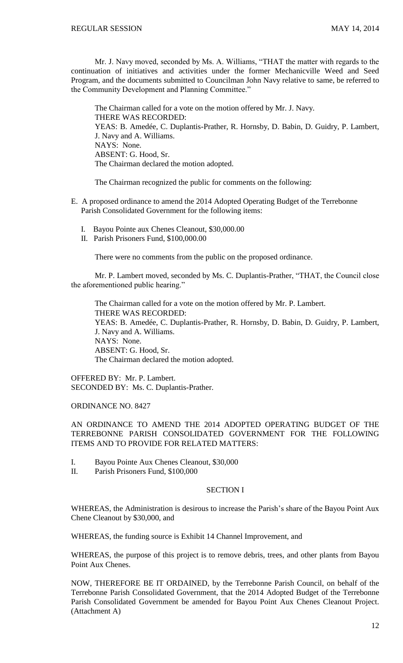Mr. J. Navy moved, seconded by Ms. A. Williams, "THAT the matter with regards to the continuation of initiatives and activities under the former Mechanicville Weed and Seed Program, and the documents submitted to Councilman John Navy relative to same, be referred to the Community Development and Planning Committee."

The Chairman called for a vote on the motion offered by Mr. J. Navy. THERE WAS RECORDED: YEAS: B. Amedée, C. Duplantis-Prather, R. Hornsby, D. Babin, D. Guidry, P. Lambert, J. Navy and A. Williams. NAYS: None. ABSENT: G. Hood, Sr. The Chairman declared the motion adopted.

The Chairman recognized the public for comments on the following:

- E. A proposed ordinance to amend the 2014 Adopted Operating Budget of the Terrebonne Parish Consolidated Government for the following items:
	- I. Bayou Pointe aux Chenes Cleanout, \$30,000.00
	- II. Parish Prisoners Fund, \$100,000.00

There were no comments from the public on the proposed ordinance.

Mr. P. Lambert moved, seconded by Ms. C. Duplantis-Prather, "THAT, the Council close the aforementioned public hearing."

The Chairman called for a vote on the motion offered by Mr. P. Lambert. THERE WAS RECORDED: YEAS: B. Amedée, C. Duplantis-Prather, R. Hornsby, D. Babin, D. Guidry, P. Lambert, J. Navy and A. Williams. NAYS: None. ABSENT: G. Hood, Sr. The Chairman declared the motion adopted.

OFFERED BY: Mr. P. Lambert. SECONDED BY: Ms. C. Duplantis-Prather.

ORDINANCE NO. 8427

AN ORDINANCE TO AMEND THE 2014 ADOPTED OPERATING BUDGET OF THE TERREBONNE PARISH CONSOLIDATED GOVERNMENT FOR THE FOLLOWING ITEMS AND TO PROVIDE FOR RELATED MATTERS:

- I. Bayou Pointe Aux Chenes Cleanout, \$30,000
- II. Parish Prisoners Fund, \$100,000

### SECTION I

WHEREAS, the Administration is desirous to increase the Parish's share of the Bayou Point Aux Chene Cleanout by \$30,000, and

WHEREAS, the funding source is Exhibit 14 Channel Improvement, and

WHEREAS, the purpose of this project is to remove debris, trees, and other plants from Bayou Point Aux Chenes.

NOW, THEREFORE BE IT ORDAINED, by the Terrebonne Parish Council, on behalf of the Terrebonne Parish Consolidated Government, that the 2014 Adopted Budget of the Terrebonne Parish Consolidated Government be amended for Bayou Point Aux Chenes Cleanout Project. (Attachment A)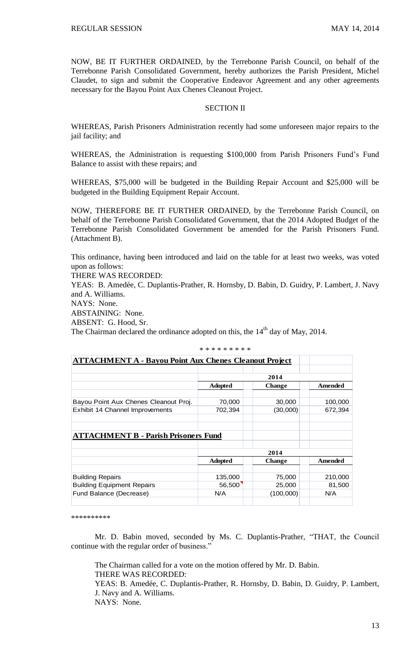NOW, BE IT FURTHER ORDAINED, by the Terrebonne Parish Council, on behalf of the Terrebonne Parish Consolidated Government, hereby authorizes the Parish President, Michel Claudet, to sign and submit the Cooperative Endeavor Agreement and any other agreements necessary for the Bayou Point Aux Chenes Cleanout Project.

# SECTION II

WHEREAS, Parish Prisoners Administration recently had some unforeseen major repairs to the jail facility; and

WHEREAS, the Administration is requesting \$100,000 from Parish Prisoners Fund's Fund Balance to assist with these repairs; and

WHEREAS, \$75,000 will be budgeted in the Building Repair Account and \$25,000 will be budgeted in the Building Equipment Repair Account.

NOW, THEREFORE BE IT FURTHER ORDAINED, by the Terrebonne Parish Council, on behalf of the Terrebonne Parish Consolidated Government, that the 2014 Adopted Budget of the Terrebonne Parish Consolidated Government be amended for the Parish Prisoners Fund. (Attachment B).

This ordinance, having been introduced and laid on the table for at least two weeks, was voted upon as follows:

THERE WAS RECORDED:

YEAS: B. Amedée, C. Duplantis-Prather, R. Hornsby, D. Babin, D. Guidry, P. Lambert, J. Navy and A. Williams.

\* \* \* \* \* \* \* \* \* \* \*

NAYS: None.

ABSTAINING: None.

ABSENT: G. Hood, Sr.

The Chairman declared the ordinance adopted on this, the  $14<sup>th</sup>$  day of May, 2014.

|                                                               | * * * * * * * * * |               |                |  |  |  |
|---------------------------------------------------------------|-------------------|---------------|----------------|--|--|--|
| <b>ATTACHMENT A - Bayou Point Aux Chenes Cleanout Project</b> |                   |               |                |  |  |  |
|                                                               |                   | 2014          |                |  |  |  |
|                                                               | <b>Adopted</b>    | <b>Change</b> | <b>Amended</b> |  |  |  |
| Bayou Point Aux Chenes Cleanout Proj.                         | 70,000            | 30,000        | 100,000        |  |  |  |
| Exhibit 14 Channel Improvements                               | 702,394           | (30,000)      | 672,394        |  |  |  |
|                                                               |                   |               |                |  |  |  |
| <b>ATTACHMENT B - Parish Prisoners Fund</b>                   |                   |               |                |  |  |  |
|                                                               | 2014              |               |                |  |  |  |
|                                                               | <b>Adopted</b>    | <b>Change</b> | <b>Amended</b> |  |  |  |
|                                                               |                   |               |                |  |  |  |
| <b>Building Repairs</b>                                       | 135,000           | 75,000        | 210,000        |  |  |  |
| <b>Building Equipment Repairs</b>                             | 56,500            | 25,000        | 81,500         |  |  |  |
| Fund Balance (Decrease)                                       | N/A               | (100,000)     | N/A            |  |  |  |
|                                                               |                   |               |                |  |  |  |

\*\*\*\*\*\*\*\*\*\*

Mr. D. Babin moved, seconded by Ms. C. Duplantis-Prather, "THAT, the Council continue with the regular order of business."

The Chairman called for a vote on the motion offered by Mr. D. Babin. THERE WAS RECORDED: YEAS: B. Amedée, C. Duplantis-Prather, R. Hornsby, D. Babin, D. Guidry, P. Lambert, J. Navy and A. Williams. NAYS: None.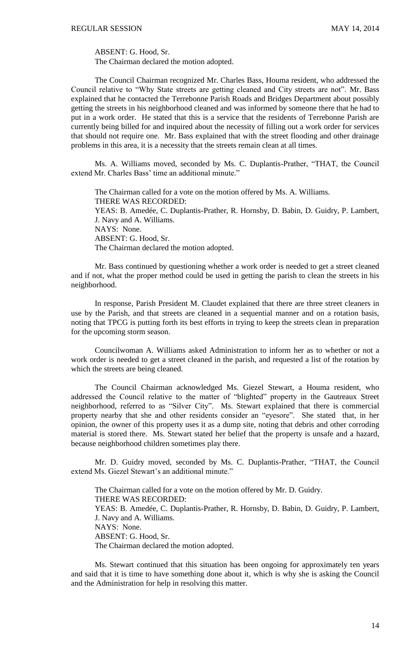ABSENT: G. Hood, Sr. The Chairman declared the motion adopted.

The Council Chairman recognized Mr. Charles Bass, Houma resident, who addressed the Council relative to "Why State streets are getting cleaned and City streets are not". Mr. Bass explained that he contacted the Terrebonne Parish Roads and Bridges Department about possibly getting the streets in his neighborhood cleaned and was informed by someone there that he had to put in a work order. He stated that this is a service that the residents of Terrebonne Parish are currently being billed for and inquired about the necessity of filling out a work order for services that should not require one. Mr. Bass explained that with the street flooding and other drainage problems in this area, it is a necessity that the streets remain clean at all times.

Ms. A. Williams moved, seconded by Ms. C. Duplantis-Prather, "THAT, the Council extend Mr. Charles Bass' time an additional minute."

 The Chairman called for a vote on the motion offered by Ms. A. Williams. THERE WAS RECORDED: YEAS: B. Amedée, C. Duplantis-Prather, R. Hornsby, D. Babin, D. Guidry, P. Lambert, J. Navy and A. Williams. NAYS: None. ABSENT: G. Hood, Sr. The Chairman declared the motion adopted.

Mr. Bass continued by questioning whether a work order is needed to get a street cleaned and if not, what the proper method could be used in getting the parish to clean the streets in his neighborhood.

In response, Parish President M. Claudet explained that there are three street cleaners in use by the Parish, and that streets are cleaned in a sequential manner and on a rotation basis, noting that TPCG is putting forth its best efforts in trying to keep the streets clean in preparation for the upcoming storm season.

Councilwoman A. Williams asked Administration to inform her as to whether or not a work order is needed to get a street cleaned in the parish, and requested a list of the rotation by which the streets are being cleaned.

The Council Chairman acknowledged Ms. Giezel Stewart, a Houma resident, who addressed the Council relative to the matter of "blighted" property in the Gautreaux Street neighborhood, referred to as "Silver City". Ms. Stewart explained that there is commercial property nearby that she and other residents consider an "eyesore". She stated that, in her opinion, the owner of this property uses it as a dump site, noting that debris and other corroding material is stored there. Ms. Stewart stated her belief that the property is unsafe and a hazard, because neighborhood children sometimes play there.

Mr. D. Guidry moved, seconded by Ms. C. Duplantis-Prather, "THAT, the Council extend Ms. Giezel Stewart's an additional minute."

The Chairman called for a vote on the motion offered by Mr. D. Guidry. THERE WAS RECORDED: YEAS: B. Amedée, C. Duplantis-Prather, R. Hornsby, D. Babin, D. Guidry, P. Lambert, J. Navy and A. Williams. NAYS: None. ABSENT: G. Hood, Sr. The Chairman declared the motion adopted.

Ms. Stewart continued that this situation has been ongoing for approximately ten years and said that it is time to have something done about it, which is why she is asking the Council and the Administration for help in resolving this matter.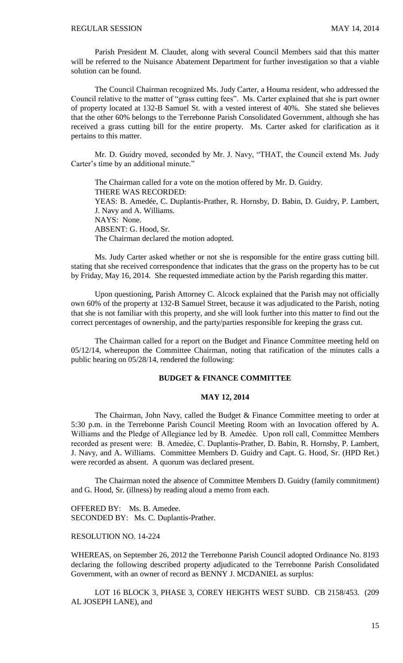Parish President M. Claudet, along with several Council Members said that this matter will be referred to the Nuisance Abatement Department for further investigation so that a viable solution can be found.

The Council Chairman recognized Ms. Judy Carter, a Houma resident, who addressed the Council relative to the matter of "grass cutting fees". Ms. Carter explained that she is part owner of property located at 132-B Samuel St. with a vested interest of 40%. She stated she believes that the other 60% belongs to the Terrebonne Parish Consolidated Government, although she has received a grass cutting bill for the entire property. Ms. Carter asked for clarification as it pertains to this matter.

Mr. D. Guidry moved, seconded by Mr. J. Navy, "THAT, the Council extend Ms. Judy Carter's time by an additional minute."

The Chairman called for a vote on the motion offered by Mr. D. Guidry. THERE WAS RECORDED: YEAS: B. Amedée, C. Duplantis-Prather, R. Hornsby, D. Babin, D. Guidry, P. Lambert, J. Navy and A. Williams. NAYS: None. ABSENT: G. Hood, Sr. The Chairman declared the motion adopted.

Ms. Judy Carter asked whether or not she is responsible for the entire grass cutting bill. stating that she received correspondence that indicates that the grass on the property has to be cut by Friday, May 16, 2014. She requested immediate action by the Parish regarding this matter.

Upon questioning, Parish Attorney C. Alcock explained that the Parish may not officially own 60% of the property at 132-B Samuel Street, because it was adjudicated to the Parish, noting that she is not familiar with this property, and she will look further into this matter to find out the correct percentages of ownership, and the party/parties responsible for keeping the grass cut.

The Chairman called for a report on the Budget and Finance Committee meeting held on 05/12/14, whereupon the Committee Chairman, noting that ratification of the minutes calls a public hearing on 05/28/14, rendered the following:

### **BUDGET & FINANCE COMMITTEE**

# **MAY 12, 2014**

The Chairman, John Navy, called the Budget & Finance Committee meeting to order at 5:30 p.m. in the Terrebonne Parish Council Meeting Room with an Invocation offered by A. Williams and the Pledge of Allegiance led by B. Amedée. Upon roll call, Committee Members recorded as present were: B. Amedée, C. Duplantis-Prather, D. Babin, R. Hornsby, P. Lambert, J. Navy, and A. Williams. Committee Members D. Guidry and Capt. G. Hood, Sr. (HPD Ret.) were recorded as absent. A quorum was declared present.

The Chairman noted the absence of Committee Members D. Guidry (family commitment) and G. Hood, Sr. (illness) by reading aloud a memo from each.

OFFERED BY: Ms. B. Amedee. SECONDED BY: Ms. C. Duplantis-Prather.

### RESOLUTION NO. 14-224

WHEREAS, on September 26, 2012 the Terrebonne Parish Council adopted Ordinance No. 8193 declaring the following described property adjudicated to the Terrebonne Parish Consolidated Government, with an owner of record as BENNY J. MCDANIEL as surplus:

LOT 16 BLOCK 3, PHASE 3, COREY HEIGHTS WEST SUBD. CB 2158/453. (209 AL JOSEPH LANE), and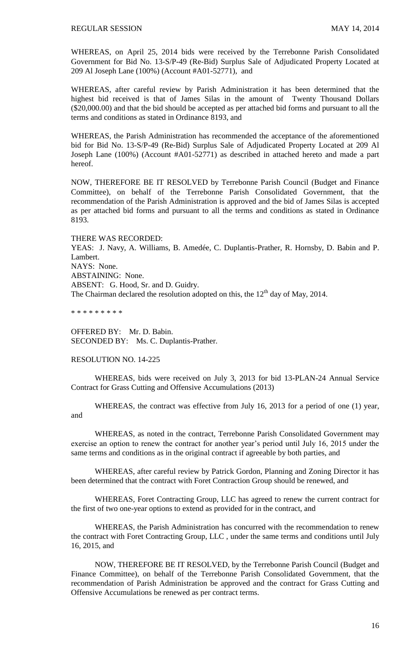WHEREAS, on April 25, 2014 bids were received by the Terrebonne Parish Consolidated Government for Bid No. 13-S/P-49 (Re-Bid) Surplus Sale of Adjudicated Property Located at 209 Al Joseph Lane (100%) (Account #A01-52771), and

WHEREAS, after careful review by Parish Administration it has been determined that the highest bid received is that of James Silas in the amount of Twenty Thousand Dollars (\$20,000.00) and that the bid should be accepted as per attached bid forms and pursuant to all the terms and conditions as stated in Ordinance 8193, and

WHEREAS, the Parish Administration has recommended the acceptance of the aforementioned bid for Bid No. 13-S/P-49 (Re-Bid) Surplus Sale of Adjudicated Property Located at 209 Al Joseph Lane (100%) (Account #A01-52771) as described in attached hereto and made a part hereof.

NOW, THEREFORE BE IT RESOLVED by Terrebonne Parish Council (Budget and Finance Committee), on behalf of the Terrebonne Parish Consolidated Government, that the recommendation of the Parish Administration is approved and the bid of James Silas is accepted as per attached bid forms and pursuant to all the terms and conditions as stated in Ordinance 8193.

THERE WAS RECORDED: YEAS: J. Navy, A. Williams, B. Amedée, C. Duplantis-Prather, R. Hornsby, D. Babin and P. Lambert. NAYS: None. ABSTAINING: None. ABSENT: G. Hood, Sr. and D. Guidry. The Chairman declared the resolution adopted on this, the  $12<sup>th</sup>$  day of May, 2014.

\* \* \* \* \* \* \* \* \*

OFFERED BY: Mr. D. Babin. SECONDED BY: Ms. C. Duplantis-Prather.

### RESOLUTION NO. 14-225

WHEREAS, bids were received on July 3, 2013 for bid 13-PLAN-24 Annual Service Contract for Grass Cutting and Offensive Accumulations (2013)

WHEREAS, the contract was effective from July 16, 2013 for a period of one (1) year, and

WHEREAS, as noted in the contract, Terrebonne Parish Consolidated Government may exercise an option to renew the contract for another year's period until July 16, 2015 under the same terms and conditions as in the original contract if agreeable by both parties, and

WHEREAS, after careful review by Patrick Gordon, Planning and Zoning Director it has been determined that the contract with Foret Contraction Group should be renewed, and

 WHEREAS, Foret Contracting Group, LLC has agreed to renew the current contract for the first of two one-year options to extend as provided for in the contract, and

WHEREAS, the Parish Administration has concurred with the recommendation to renew the contract with Foret Contracting Group, LLC , under the same terms and conditions until July 16, 2015, and

NOW, THEREFORE BE IT RESOLVED, by the Terrebonne Parish Council (Budget and Finance Committee), on behalf of the Terrebonne Parish Consolidated Government, that the recommendation of Parish Administration be approved and the contract for Grass Cutting and Offensive Accumulations be renewed as per contract terms.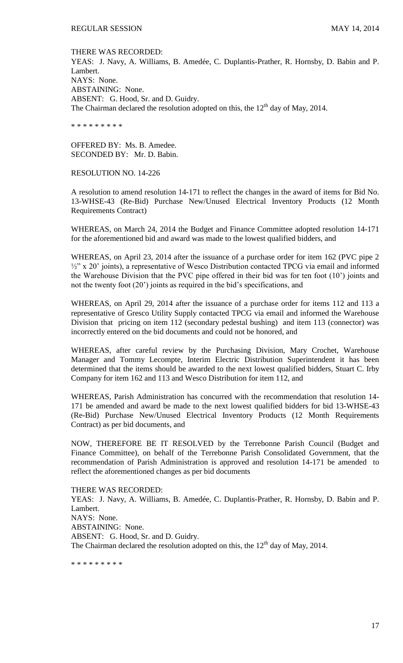THERE WAS RECORDED: YEAS: J. Navy, A. Williams, B. Amedée, C. Duplantis-Prather, R. Hornsby, D. Babin and P. Lambert. NAYS: None. ABSTAINING: None. ABSENT: G. Hood, Sr. and D. Guidry. The Chairman declared the resolution adopted on this, the  $12<sup>th</sup>$  day of May, 2014.

\* \* \* \* \* \* \* \* \*

OFFERED BY: Ms. B. Amedee. SECONDED BY: Mr. D. Babin.

## RESOLUTION NO. 14-226

A resolution to amend resolution 14-171 to reflect the changes in the award of items for Bid No. 13-WHSE-43 (Re-Bid) Purchase New/Unused Electrical Inventory Products (12 Month Requirements Contract)

WHEREAS, on March 24, 2014 the Budget and Finance Committee adopted resolution 14-171 for the aforementioned bid and award was made to the lowest qualified bidders, and

WHEREAS, on April 23, 2014 after the issuance of a purchase order for item 162 (PVC pipe 2  $\frac{1}{2}$ " x 20' joints), a representative of Wesco Distribution contacted TPCG via email and informed the Warehouse Division that the PVC pipe offered in their bid was for ten foot (10') joints and not the twenty foot (20') joints as required in the bid's specifications, and

WHEREAS, on April 29, 2014 after the issuance of a purchase order for items 112 and 113 a representative of Gresco Utility Supply contacted TPCG via email and informed the Warehouse Division that pricing on item 112 (secondary pedestal bushing) and item 113 (connector) was incorrectly entered on the bid documents and could not be honored, and

WHEREAS, after careful review by the Purchasing Division, Mary Crochet, Warehouse Manager and Tommy Lecompte, Interim Electric Distribution Superintendent it has been determined that the items should be awarded to the next lowest qualified bidders, Stuart C. Irby Company for item 162 and 113 and Wesco Distribution for item 112, and

WHEREAS, Parish Administration has concurred with the recommendation that resolution 14- 171 be amended and award be made to the next lowest qualified bidders for bid 13-WHSE-43 (Re-Bid) Purchase New/Unused Electrical Inventory Products (12 Month Requirements Contract) as per bid documents, and

NOW, THEREFORE BE IT RESOLVED by the Terrebonne Parish Council (Budget and Finance Committee), on behalf of the Terrebonne Parish Consolidated Government, that the recommendation of Parish Administration is approved and resolution 14-171 be amended to reflect the aforementioned changes as per bid documents

THERE WAS RECORDED: YEAS: J. Navy, A. Williams, B. Amedée, C. Duplantis-Prather, R. Hornsby, D. Babin and P. Lambert. NAYS: None. ABSTAINING: None. ABSENT: G. Hood, Sr. and D. Guidry. The Chairman declared the resolution adopted on this, the  $12<sup>th</sup>$  day of May, 2014.

\* \* \* \* \* \* \* \* \*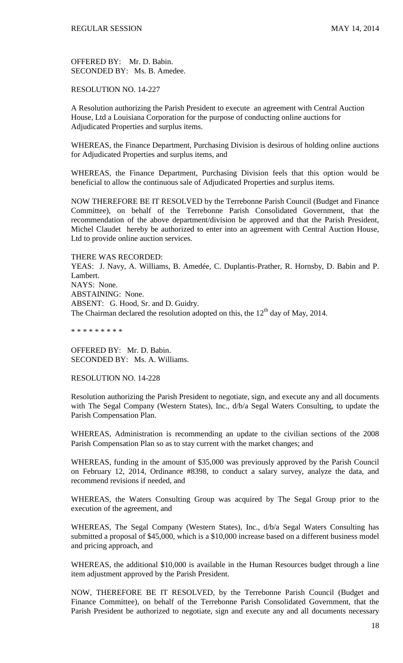OFFERED BY: Mr. D. Babin. SECONDED BY: Ms. B. Amedee.

# RESOLUTION NO. 14-227

A Resolution authorizing the Parish President to execute an agreement with Central Auction House, Ltd a Louisiana Corporation for the purpose of conducting online auctions for Adjudicated Properties and surplus items.

WHEREAS, the Finance Department, Purchasing Division is desirous of holding online auctions for Adjudicated Properties and surplus items, and

WHEREAS, the Finance Department, Purchasing Division feels that this option would be beneficial to allow the continuous sale of Adjudicated Properties and surplus items.

NOW THEREFORE BE IT RESOLVED by the Terrebonne Parish Council (Budget and Finance Committee), on behalf of the Terrebonne Parish Consolidated Government, that the recommendation of the above department/division be approved and that the Parish President, Michel Claudet hereby be authorized to enter into an agreement with Central Auction House, Ltd to provide online auction services.

# THERE WAS RECORDED:

YEAS: J. Navy, A. Williams, B. Amedée, C. Duplantis-Prather, R. Hornsby, D. Babin and P. Lambert. NAYS: None. ABSTAINING: None. ABSENT: G. Hood, Sr. and D. Guidry. The Chairman declared the resolution adopted on this, the  $12<sup>th</sup>$  day of May, 2014.

\* \* \* \* \* \* \* \* \*

OFFERED BY: Mr. D. Babin. SECONDED BY: Ms. A. Williams.

### RESOLUTION NO. 14-228

Resolution authorizing the Parish President to negotiate, sign, and execute any and all documents with The Segal Company (Western States), Inc.,  $d/b/a$  Segal Waters Consulting, to update the Parish Compensation Plan.

WHEREAS, Administration is recommending an update to the civilian sections of the 2008 Parish Compensation Plan so as to stay current with the market changes; and

WHEREAS, funding in the amount of \$35,000 was previously approved by the Parish Council on February 12, 2014, Ordinance #8398, to conduct a salary survey, analyze the data, and recommend revisions if needed, and

WHEREAS, the Waters Consulting Group was acquired by The Segal Group prior to the execution of the agreement, and

WHEREAS, The Segal Company (Western States), Inc., d/b/a Segal Waters Consulting has submitted a proposal of \$45,000, which is a \$10,000 increase based on a different business model and pricing approach, and

WHEREAS, the additional \$10,000 is available in the Human Resources budget through a line item adjustment approved by the Parish President.

NOW, THEREFORE BE IT RESOLVED, by the Terrebonne Parish Council (Budget and Finance Committee), on behalf of the Terrebonne Parish Consolidated Government, that the Parish President be authorized to negotiate, sign and execute any and all documents necessary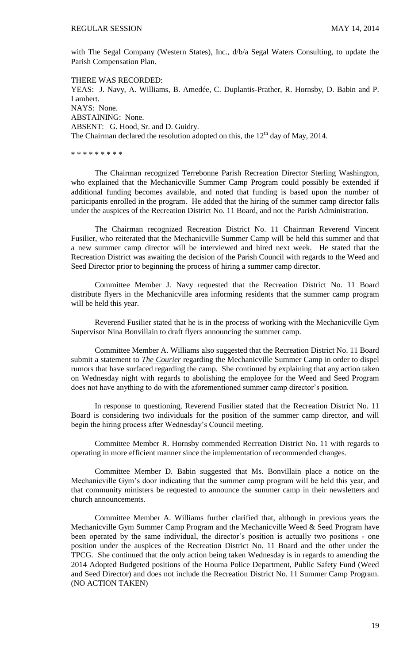with The Segal Company (Western States), Inc.,  $d/b/a$  Segal Waters Consulting, to update the Parish Compensation Plan.

THERE WAS RECORDED: YEAS: J. Navy, A. Williams, B. Amedée, C. Duplantis-Prather, R. Hornsby, D. Babin and P. Lambert. NAYS: None. ABSTAINING: None. ABSENT: G. Hood, Sr. and D. Guidry. The Chairman declared the resolution adopted on this, the  $12<sup>th</sup>$  day of May, 2014.

\* \* \* \* \* \* \* \* \*

The Chairman recognized Terrebonne Parish Recreation Director Sterling Washington, who explained that the Mechanicville Summer Camp Program could possibly be extended if additional funding becomes available, and noted that funding is based upon the number of participants enrolled in the program. He added that the hiring of the summer camp director falls under the auspices of the Recreation District No. 11 Board, and not the Parish Administration.

The Chairman recognized Recreation District No. 11 Chairman Reverend Vincent Fusilier, who reiterated that the Mechanicville Summer Camp will be held this summer and that a new summer camp director will be interviewed and hired next week. He stated that the Recreation District was awaiting the decision of the Parish Council with regards to the Weed and Seed Director prior to beginning the process of hiring a summer camp director.

Committee Member J. Navy requested that the Recreation District No. 11 Board distribute flyers in the Mechanicville area informing residents that the summer camp program will be held this year.

Reverend Fusilier stated that he is in the process of working with the Mechanicville Gym Supervisor Nina Bonvillain to draft flyers announcing the summer camp.

Committee Member A. Williams also suggested that the Recreation District No. 11 Board submit a statement to *The Courier* regarding the Mechanicville Summer Camp in order to dispel rumors that have surfaced regarding the camp. She continued by explaining that any action taken on Wednesday night with regards to abolishing the employee for the Weed and Seed Program does not have anything to do with the aforementioned summer camp director's position.

In response to questioning, Reverend Fusilier stated that the Recreation District No. 11 Board is considering two individuals for the position of the summer camp director, and will begin the hiring process after Wednesday's Council meeting.

Committee Member R. Hornsby commended Recreation District No. 11 with regards to operating in more efficient manner since the implementation of recommended changes.

Committee Member D. Babin suggested that Ms. Bonvillain place a notice on the Mechanicville Gym's door indicating that the summer camp program will be held this year, and that community ministers be requested to announce the summer camp in their newsletters and church announcements.

Committee Member A. Williams further clarified that, although in previous years the Mechanicville Gym Summer Camp Program and the Mechanicville Weed & Seed Program have been operated by the same individual, the director's position is actually two positions - one position under the auspices of the Recreation District No. 11 Board and the other under the TPCG. She continued that the only action being taken Wednesday is in regards to amending the 2014 Adopted Budgeted positions of the Houma Police Department, Public Safety Fund (Weed and Seed Director) and does not include the Recreation District No. 11 Summer Camp Program. (NO ACTION TAKEN)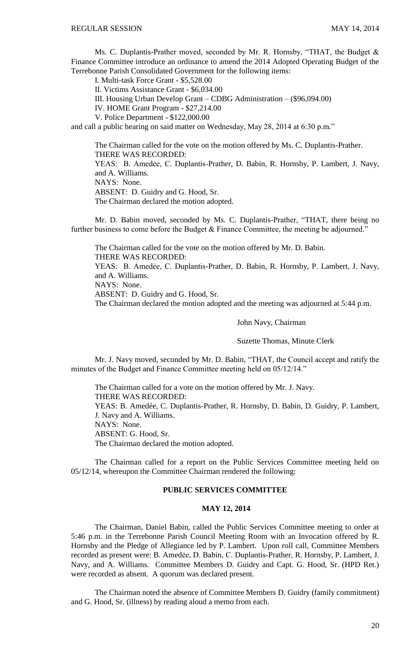Ms. C. Duplantis-Prather moved, seconded by Mr. R. Hornsby, "THAT, the Budget & Finance Committee introduce an ordinance to amend the 2014 Adopted Operating Budget of the Terrebonne Parish Consolidated Government for the following items:

I. Multi-task Force Grant - \$5,528.00

II. Victims Assistance Grant - \$6,034.00

III. Housing Urban Develop Grant – CDBG Administration – (\$96,094.00)

IV. HOME Grant Program - \$27,214.00

V. Police Department - \$122,000.00

and call a public hearing on said matter on Wednesday, May 28, 2014 at 6:30 p.m."

The Chairman called for the vote on the motion offered by Ms. C. Duplantis-Prather. THERE WAS RECORDED:

YEAS: B. Amedėe, C. Duplantis-Prather, D. Babin, R. Hornsby, P. Lambert, J. Navy, and A. Williams.

NAYS: None.

ABSENT: D. Guidry and G. Hood, Sr.

The Chairman declared the motion adopted.

Mr. D. Babin moved, seconded by Ms. C. Duplantis-Prather, "THAT, there being no further business to come before the Budget & Finance Committee, the meeting be adjourned."

The Chairman called for the vote on the motion offered by Mr. D. Babin. THERE WAS RECORDED: YEAS: B. Amedėe, C. Duplantis-Prather, D. Babin, R. Hornsby, P. Lambert, J. Navy, and A. Williams. NAYS: None. ABSENT: D. Guidry and G. Hood, Sr. The Chairman declared the motion adopted and the meeting was adjourned at 5:44 p.m.

John Navy, Chairman

Suzette Thomas, Minute Clerk

Mr. J. Navy moved, seconded by Mr. D. Babin, "THAT, the Council accept and ratify the minutes of the Budget and Finance Committee meeting held on 05/12/14."

 The Chairman called for a vote on the motion offered by Mr. J. Navy. THERE WAS RECORDED: YEAS: B. Amedée, C. Duplantis-Prather, R. Hornsby, D. Babin, D. Guidry, P. Lambert, J. Navy and A. Williams. NAYS: None. ABSENT: G. Hood, Sr. The Chairman declared the motion adopted.

The Chairman called for a report on the Public Services Committee meeting held on 05/12/14, whereupon the Committee Chairman rendered the following:

### **PUBLIC SERVICES COMMITTEE**

### **MAY 12, 2014**

The Chairman, Daniel Babin, called the Public Services Committee meeting to order at 5:46 p.m. in the Terrebonne Parish Council Meeting Room with an Invocation offered by R. Hornsby and the Pledge of Allegiance led by P. Lambert. Upon roll call, Committee Members recorded as present were: B. Amedée, D. Babin, C. Duplantis-Prather, R. Hornsby, P. Lambert, J. Navy, and A. Williams. Committee Members D. Guidry and Capt. G. Hood, Sr. (HPD Ret.) were recorded as absent. A quorum was declared present.

The Chairman noted the absence of Committee Members D. Guidry (family commitment) and G. Hood, Sr. (illness) by reading aloud a memo from each.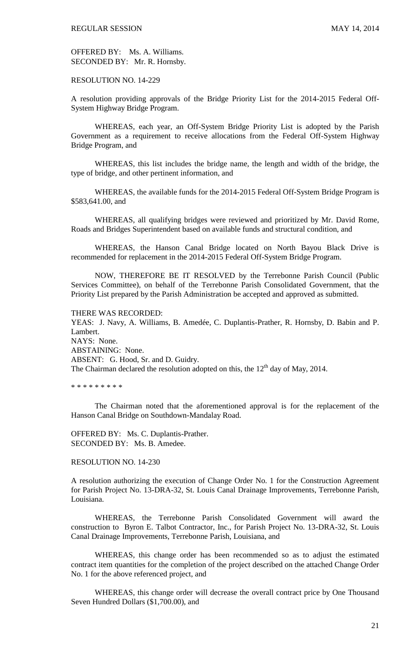OFFERED BY: Ms. A. Williams. SECONDED BY: Mr. R. Hornsby.

RESOLUTION NO. 14-229

A resolution providing approvals of the Bridge Priority List for the 2014-2015 Federal Off-System Highway Bridge Program.

WHEREAS, each year, an Off-System Bridge Priority List is adopted by the Parish Government as a requirement to receive allocations from the Federal Off-System Highway Bridge Program, and

WHEREAS, this list includes the bridge name, the length and width of the bridge, the type of bridge, and other pertinent information, and

WHEREAS, the available funds for the 2014-2015 Federal Off-System Bridge Program is \$583,641.00, and

WHEREAS, all qualifying bridges were reviewed and prioritized by Mr. David Rome, Roads and Bridges Superintendent based on available funds and structural condition, and

WHEREAS, the Hanson Canal Bridge located on North Bayou Black Drive is recommended for replacement in the 2014-2015 Federal Off-System Bridge Program.

NOW, THEREFORE BE IT RESOLVED by the Terrebonne Parish Council (Public Services Committee), on behalf of the Terrebonne Parish Consolidated Government, that the Priority List prepared by the Parish Administration be accepted and approved as submitted.

THERE WAS RECORDED:

YEAS: J. Navy, A. Williams, B. Amedée, C. Duplantis-Prather, R. Hornsby, D. Babin and P. Lambert. NAYS: None. ABSTAINING: None. ABSENT: G. Hood, Sr. and D. Guidry. The Chairman declared the resolution adopted on this, the  $12<sup>th</sup>$  day of May, 2014.

\* \* \* \* \* \* \* \* \*

The Chairman noted that the aforementioned approval is for the replacement of the Hanson Canal Bridge on Southdown-Mandalay Road.

OFFERED BY: Ms. C. Duplantis-Prather. SECONDED BY: Ms. B. Amedee.

### RESOLUTION NO. 14-230

A resolution authorizing the execution of Change Order No. 1 for the Construction Agreement for Parish Project No. 13-DRA-32, St. Louis Canal Drainage Improvements, Terrebonne Parish, Louisiana.

WHEREAS, the Terrebonne Parish Consolidated Government will award the construction to Byron E. Talbot Contractor, Inc., for Parish Project No. 13-DRA-32, St. Louis Canal Drainage Improvements, Terrebonne Parish, Louisiana, and

WHEREAS, this change order has been recommended so as to adjust the estimated contract item quantities for the completion of the project described on the attached Change Order No. 1 for the above referenced project, and

WHEREAS, this change order will decrease the overall contract price by One Thousand Seven Hundred Dollars (\$1,700.00), and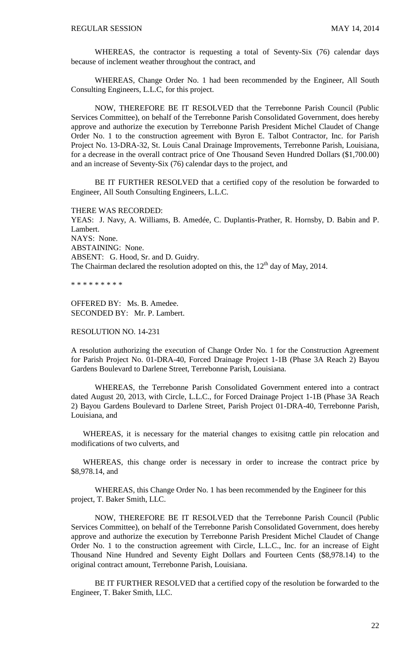WHEREAS, the contractor is requesting a total of Seventy-Six (76) calendar days because of inclement weather throughout the contract, and

WHEREAS, Change Order No. 1 had been recommended by the Engineer, All South Consulting Engineers, L.L.C, for this project.

NOW, THEREFORE BE IT RESOLVED that the Terrebonne Parish Council (Public Services Committee), on behalf of the Terrebonne Parish Consolidated Government, does hereby approve and authorize the execution by Terrebonne Parish President Michel Claudet of Change Order No. 1 to the construction agreement with Byron E. Talbot Contractor, Inc. for Parish Project No. 13-DRA-32, St. Louis Canal Drainage Improvements, Terrebonne Parish, Louisiana, for a decrease in the overall contract price of One Thousand Seven Hundred Dollars (\$1,700.00) and an increase of Seventy-Six (76) calendar days to the project, and

BE IT FURTHER RESOLVED that a certified copy of the resolution be forwarded to Engineer, All South Consulting Engineers, L.L.C.

THERE WAS RECORDED:

YEAS: J. Navy, A. Williams, B. Amedée, C. Duplantis-Prather, R. Hornsby, D. Babin and P. Lambert. NAYS: None. ABSTAINING: None. ABSENT: G. Hood, Sr. and D. Guidry. The Chairman declared the resolution adopted on this, the  $12<sup>th</sup>$  day of May, 2014.

\* \* \* \* \* \* \* \* \*

OFFERED BY: Ms. B. Amedee. SECONDED BY: Mr. P. Lambert.

RESOLUTION NO. 14-231

A resolution authorizing the execution of Change Order No. 1 for the Construction Agreement for Parish Project No. 01-DRA-40, Forced Drainage Project 1-1B (Phase 3A Reach 2) Bayou Gardens Boulevard to Darlene Street, Terrebonne Parish, Louisiana.

WHEREAS, the Terrebonne Parish Consolidated Government entered into a contract dated August 20, 2013, with Circle, L.L.C., for Forced Drainage Project 1-1B (Phase 3A Reach 2) Bayou Gardens Boulevard to Darlene Street, Parish Project 01-DRA-40, Terrebonne Parish, Louisiana, and

WHEREAS, it is necessary for the material changes to exisitng cattle pin relocation and modifications of two culverts, and

WHEREAS, this change order is necessary in order to increase the contract price by \$8,978.14, and

WHEREAS, this Change Order No. 1 has been recommended by the Engineer for this project, T. Baker Smith, LLC.

NOW, THEREFORE BE IT RESOLVED that the Terrebonne Parish Council (Public Services Committee), on behalf of the Terrebonne Parish Consolidated Government, does hereby approve and authorize the execution by Terrebonne Parish President Michel Claudet of Change Order No. 1 to the construction agreement with Circle, L.L.C., Inc. for an increase of Eight Thousand Nine Hundred and Seventy Eight Dollars and Fourteen Cents (\$8,978.14) to the original contract amount, Terrebonne Parish, Louisiana.

BE IT FURTHER RESOLVED that a certified copy of the resolution be forwarded to the Engineer, T. Baker Smith, LLC.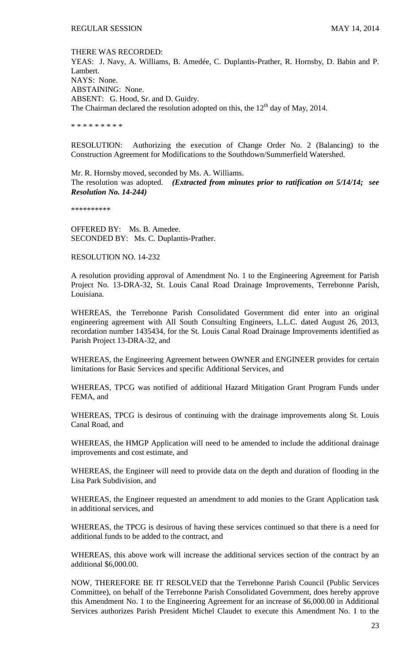THERE WAS RECORDED: YEAS: J. Navy, A. Williams, B. Amedée, C. Duplantis-Prather, R. Hornsby, D. Babin and P. Lambert. NAYS: None. ABSTAINING: None. ABSENT: G. Hood, Sr. and D. Guidry. The Chairman declared the resolution adopted on this, the  $12<sup>th</sup>$  day of May, 2014.

\* \* \* \* \* \* \* \* \*

RESOLUTION: Authorizing the execution of Change Order No. 2 (Balancing) to the Construction Agreement for Modifications to the Southdown/Summerfield Watershed.

Mr. R. Hornsby moved, seconded by Ms. A. Williams. The resolution was adopted. *(Extracted from minutes prior to ratification on 5/14/14; see Resolution No. 14-244)*

\*\*\*\*\*\*\*\*\*\*

OFFERED BY: Ms. B. Amedee. SECONDED BY: Ms. C. Duplantis-Prather.

#### RESOLUTION NO. 14-232

A resolution providing approval of Amendment No. 1 to the Engineering Agreement for Parish Project No. 13-DRA-32, St. Louis Canal Road Drainage Improvements, Terrebonne Parish, Louisiana.

WHEREAS, the Terrebonne Parish Consolidated Government did enter into an original engineering agreement with All South Consulting Engineers, L.L.C. dated August 26, 2013, recordation number 1435434, for the St. Louis Canal Road Drainage Improvements identified as Parish Project 13-DRA-32, and

WHEREAS, the Engineering Agreement between OWNER and ENGINEER provides for certain limitations for Basic Services and specific Additional Services, and

WHEREAS, TPCG was notified of additional Hazard Mitigation Grant Program Funds under FEMA, and

WHEREAS, TPCG is desirous of continuing with the drainage improvements along St. Louis Canal Road, and

WHEREAS, the HMGP Application will need to be amended to include the additional drainage improvements and cost estimate, and

WHEREAS, the Engineer will need to provide data on the depth and duration of flooding in the Lisa Park Subdivision, and

WHEREAS, the Engineer requested an amendment to add monies to the Grant Application task in additional services, and

WHEREAS, the TPCG is desirous of having these services continued so that there is a need for additional funds to be added to the contract, and

WHEREAS, this above work will increase the additional services section of the contract by an additional \$6,000.00.

NOW, THEREFORE BE IT RESOLVED that the Terrebonne Parish Council (Public Services Committee), on behalf of the Terrebonne Parish Consolidated Government, does hereby approve this Amendment No. 1 to the Engineering Agreement for an increase of \$6,000.00 in Additional Services authorizes Parish President Michel Claudet to execute this Amendment No. 1 to the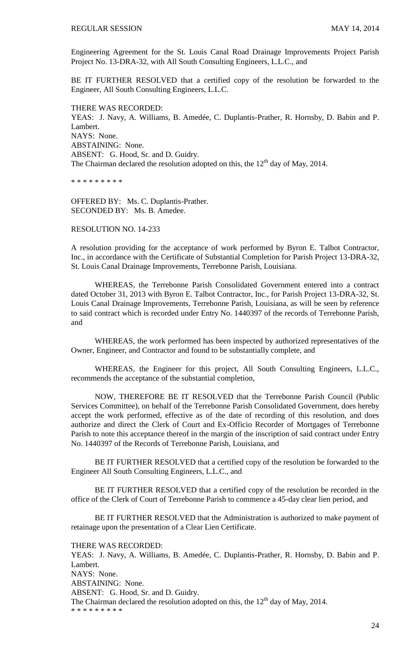Engineering Agreement for the St. Louis Canal Road Drainage Improvements Project Parish Project No. 13-DRA-32, with All South Consulting Engineers, L.L.C., and

BE IT FURTHER RESOLVED that a certified copy of the resolution be forwarded to the Engineer, All South Consulting Engineers, L.L.C.

THERE WAS RECORDED: YEAS: J. Navy, A. Williams, B. Amedée, C. Duplantis-Prather, R. Hornsby, D. Babin and P. Lambert. NAYS: None. ABSTAINING: None. ABSENT: G. Hood, Sr. and D. Guidry. The Chairman declared the resolution adopted on this, the  $12<sup>th</sup>$  day of May, 2014.

\* \* \* \* \* \* \* \* \*

OFFERED BY: Ms. C. Duplantis-Prather. SECONDED BY: Ms. B. Amedee.

RESOLUTION NO. 14-233

A resolution providing for the acceptance of work performed by Byron E. Talbot Contractor, Inc., in accordance with the Certificate of Substantial Completion for Parish Project 13-DRA-32, St. Louis Canal Drainage Improvements, Terrebonne Parish, Louisiana.

WHEREAS, the Terrebonne Parish Consolidated Government entered into a contract dated October 31, 2013 with Byron E. Talbot Contractor, Inc., for Parish Project 13-DRA-32, St. Louis Canal Drainage Improvements, Terrebonne Parish, Louisiana, as will be seen by reference to said contract which is recorded under Entry No. 1440397 of the records of Terrebonne Parish, and

WHEREAS, the work performed has been inspected by authorized representatives of the Owner, Engineer, and Contractor and found to be substantially complete, and

WHEREAS, the Engineer for this project, All South Consulting Engineers, L.L.C., recommends the acceptance of the substantial completion,

NOW, THEREFORE BE IT RESOLVED that the Terrebonne Parish Council (Public Services Committee), on behalf of the Terrebonne Parish Consolidated Government, does hereby accept the work performed, effective as of the date of recording of this resolution, and does authorize and direct the Clerk of Court and Ex-Officio Recorder of Mortgages of Terrebonne Parish to note this acceptance thereof in the margin of the inscription of said contract under Entry No. 1440397 of the Records of Terrebonne Parish, Louisiana, and

BE IT FURTHER RESOLVED that a certified copy of the resolution be forwarded to the Engineer All South Consulting Engineers, L.L.C., and

BE IT FURTHER RESOLVED that a certified copy of the resolution be recorded in the office of the Clerk of Court of Terrebonne Parish to commence a 45-day clear lien period, and

BE IT FURTHER RESOLVED that the Administration is authorized to make payment of retainage upon the presentation of a Clear Lien Certificate.

THERE WAS RECORDED:

YEAS: J. Navy, A. Williams, B. Amedée, C. Duplantis-Prather, R. Hornsby, D. Babin and P. Lambert. NAYS: None. ABSTAINING: None. ABSENT: G. Hood, Sr. and D. Guidry. The Chairman declared the resolution adopted on this, the  $12<sup>th</sup>$  day of May, 2014. \* \* \* \* \* \* \* \* \*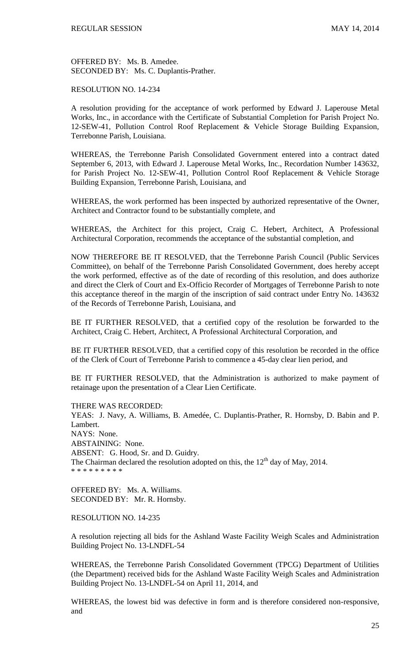OFFERED BY: Ms. B. Amedee. SECONDED BY: Ms. C. Duplantis-Prather.

# RESOLUTION NO. 14-234

A resolution providing for the acceptance of work performed by Edward J. Laperouse Metal Works, Inc., in accordance with the Certificate of Substantial Completion for Parish Project No. 12-SEW-41, Pollution Control Roof Replacement & Vehicle Storage Building Expansion, Terrebonne Parish, Louisiana.

WHEREAS, the Terrebonne Parish Consolidated Government entered into a contract dated September 6, 2013, with Edward J. Laperouse Metal Works, Inc., Recordation Number 143632, for Parish Project No. 12-SEW-41, Pollution Control Roof Replacement & Vehicle Storage Building Expansion, Terrebonne Parish, Louisiana, and

WHEREAS, the work performed has been inspected by authorized representative of the Owner, Architect and Contractor found to be substantially complete, and

WHEREAS, the Architect for this project, Craig C. Hebert, Architect, A Professional Architectural Corporation, recommends the acceptance of the substantial completion, and

NOW THEREFORE BE IT RESOLVED, that the Terrebonne Parish Council (Public Services Committee), on behalf of the Terrebonne Parish Consolidated Government, does hereby accept the work performed, effective as of the date of recording of this resolution, and does authorize and direct the Clerk of Court and Ex-Officio Recorder of Mortgages of Terrebonne Parish to note this acceptance thereof in the margin of the inscription of said contract under Entry No. 143632 of the Records of Terrebonne Parish, Louisiana, and

BE IT FURTHER RESOLVED, that a certified copy of the resolution be forwarded to the Architect, Craig C. Hebert, Architect, A Professional Architectural Corporation, and

BE IT FURTHER RESOLVED, that a certified copy of this resolution be recorded in the office of the Clerk of Court of Terrebonne Parish to commence a 45-day clear lien period, and

BE IT FURTHER RESOLVED, that the Administration is authorized to make payment of retainage upon the presentation of a Clear Lien Certificate.

THERE WAS RECORDED:

YEAS: J. Navy, A. Williams, B. Amedée, C. Duplantis-Prather, R. Hornsby, D. Babin and P. Lambert. NAYS: None. ABSTAINING: None. ABSENT: G. Hood, Sr. and D. Guidry. The Chairman declared the resolution adopted on this, the  $12<sup>th</sup>$  day of May, 2014. \* \* \* \* \* \* \* \* \*

OFFERED BY: Ms. A. Williams. SECONDED BY: Mr. R. Hornsby.

# RESOLUTION NO. 14-235

A resolution rejecting all bids for the Ashland Waste Facility Weigh Scales and Administration Building Project No. 13-LNDFL-54

WHEREAS, the Terrebonne Parish Consolidated Government (TPCG) Department of Utilities (the Department) received bids for the Ashland Waste Facility Weigh Scales and Administration Building Project No. 13-LNDFL-54 on April 11, 2014, and

WHEREAS, the lowest bid was defective in form and is therefore considered non-responsive, and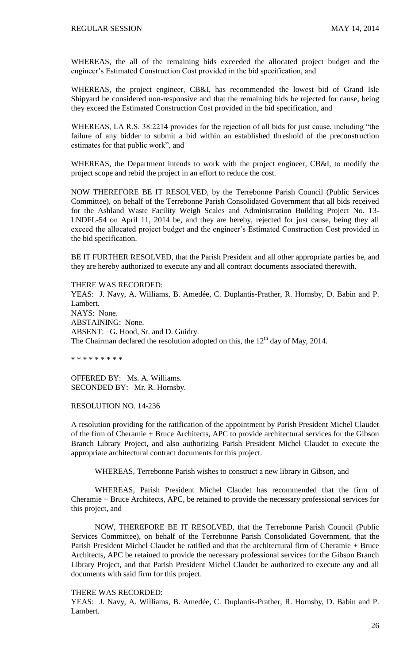WHEREAS, the all of the remaining bids exceeded the allocated project budget and the engineer's Estimated Construction Cost provided in the bid specification, and

WHEREAS, the project engineer, CB&I, has recommended the lowest bid of Grand Isle Shipyard be considered non-responsive and that the remaining bids be rejected for cause, being they exceed the Estimated Construction Cost provided in the bid specification, and

WHEREAS, LA R.S. 38:2214 provides for the rejection of all bids for just cause, including "the failure of any bidder to submit a bid within an established threshold of the preconstruction estimates for that public work", and

WHEREAS, the Department intends to work with the project engineer, CB&I, to modify the project scope and rebid the project in an effort to reduce the cost.

NOW THEREFORE BE IT RESOLVED, by the Terrebonne Parish Council (Public Services Committee), on behalf of the Terrebonne Parish Consolidated Government that all bids received for the Ashland Waste Facility Weigh Scales and Administration Building Project No. 13- LNDFL-54 on April 11, 2014 be, and they are hereby, rejected for just cause, being they all exceed the allocated project budget and the engineer's Estimated Construction Cost provided in the bid specification.

BE IT FURTHER RESOLVED, that the Parish President and all other appropriate parties be, and they are hereby authorized to execute any and all contract documents associated therewith.

THERE WAS RECORDED:

YEAS: J. Navy, A. Williams, B. Amedée, C. Duplantis-Prather, R. Hornsby, D. Babin and P. Lambert. NAYS: None. ABSTAINING: None. ABSENT: G. Hood, Sr. and D. Guidry. The Chairman declared the resolution adopted on this, the  $12<sup>th</sup>$  day of May, 2014.

\* \* \* \* \* \* \* \* \*

OFFERED BY: Ms. A. Williams. SECONDED BY: Mr. R. Hornsby.

### RESOLUTION NO. 14-236

A resolution providing for the ratification of the appointment by Parish President Michel Claudet of the firm of Cheramie + Bruce Architects, APC to provide architectural services for the Gibson Branch Library Project, and also authorizing Parish President Michel Claudet to execute the appropriate architectural contract documents for this project.

WHEREAS, Terrebonne Parish wishes to construct a new library in Gibson, and

WHEREAS, Parish President Michel Claudet has recommended that the firm of Cheramie + Bruce Architects, APC, be retained to provide the necessary professional services for this project, and

NOW, THEREFORE BE IT RESOLVED, that the Terrebonne Parish Council (Public Services Committee), on behalf of the Terrebonne Parish Consolidated Government, that the Parish President Michel Claudet be ratified and that the architectural firm of Cheramie + Bruce Architects, APC be retained to provide the necessary professional services for the Gibson Branch Library Project, and that Parish President Michel Claudet be authorized to execute any and all documents with said firm for this project.

#### THERE WAS RECORDED:

YEAS: J. Navy, A. Williams, B. Amedée, C. Duplantis-Prather, R. Hornsby, D. Babin and P. Lambert.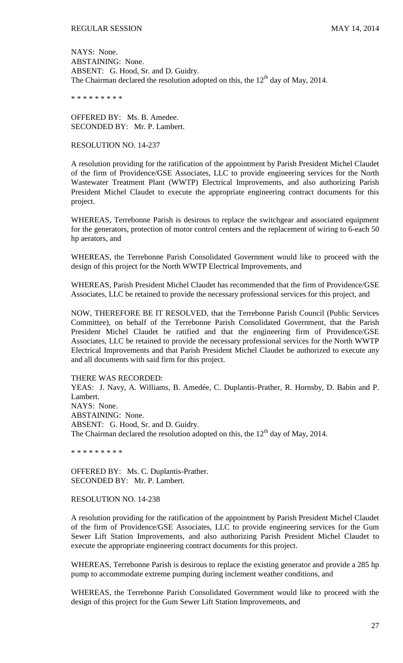NAYS: None. ABSTAINING: None. ABSENT: G. Hood, Sr. and D. Guidry. The Chairman declared the resolution adopted on this, the  $12<sup>th</sup>$  day of May, 2014.

\* \* \* \* \* \* \* \* \*

OFFERED BY: Ms. B. Amedee. SECONDED BY: Mr. P. Lambert.

## RESOLUTION NO. 14-237

A resolution providing for the ratification of the appointment by Parish President Michel Claudet of the firm of Providence/GSE Associates, LLC to provide engineering services for the North Wastewater Treatment Plant (WWTP) Electrical Improvements, and also authorizing Parish President Michel Claudet to execute the appropriate engineering contract documents for this project.

WHEREAS, Terrebonne Parish is desirous to replace the switchgear and associated equipment for the generators, protection of motor control centers and the replacement of wiring to 6-each 50 hp aerators, and

WHEREAS, the Terrebonne Parish Consolidated Government would like to proceed with the design of this project for the North WWTP Electrical Improvements, and

WHEREAS, Parish President Michel Claudet has recommended that the firm of Providence/GSE Associates, LLC be retained to provide the necessary professional services for this project, and

NOW, THEREFORE BE IT RESOLVED, that the Terrebonne Parish Council (Public Services Committee), on behalf of the Terrebonne Parish Consolidated Government, that the Parish President Michel Claudet be ratified and that the engineering firm of Providence/GSE Associates, LLC be retained to provide the necessary professional services for the North WWTP Electrical Improvements and that Parish President Michel Claudet be authorized to execute any and all documents with said firm for this project.

THERE WAS RECORDED:

YEAS: J. Navy, A. Williams, B. Amedée, C. Duplantis-Prather, R. Hornsby, D. Babin and P. Lambert. NAYS: None. ABSTAINING: None. ABSENT: G. Hood, Sr. and D. Guidry. The Chairman declared the resolution adopted on this, the  $12<sup>th</sup>$  day of May, 2014.

\* \* \* \* \* \* \* \* \*

OFFERED BY: Ms. C. Duplantis-Prather. SECONDED BY: Mr. P. Lambert.

## RESOLUTION NO. 14-238

A resolution providing for the ratification of the appointment by Parish President Michel Claudet of the firm of Providence/GSE Associates, LLC to provide engineering services for the Gum Sewer Lift Station Improvements, and also authorizing Parish President Michel Claudet to execute the appropriate engineering contract documents for this project.

WHEREAS, Terrebonne Parish is desirous to replace the existing generator and provide a 285 hp pump to accommodate extreme pumping during inclement weather conditions, and

WHEREAS, the Terrebonne Parish Consolidated Government would like to proceed with the design of this project for the Gum Sewer Lift Station Improvements, and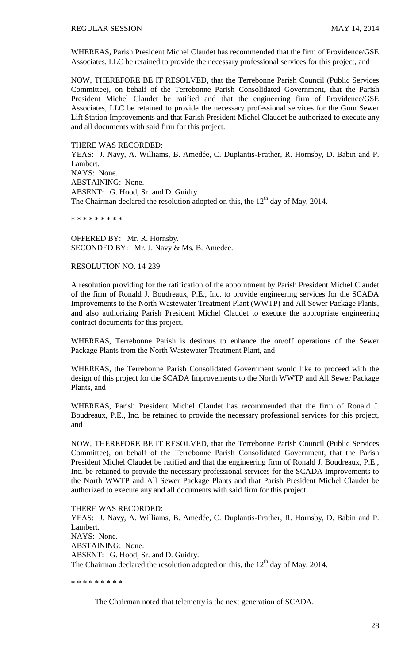WHEREAS, Parish President Michel Claudet has recommended that the firm of Providence/GSE Associates, LLC be retained to provide the necessary professional services for this project, and

NOW, THEREFORE BE IT RESOLVED, that the Terrebonne Parish Council (Public Services Committee), on behalf of the Terrebonne Parish Consolidated Government, that the Parish President Michel Claudet be ratified and that the engineering firm of Providence/GSE Associates, LLC be retained to provide the necessary professional services for the Gum Sewer Lift Station Improvements and that Parish President Michel Claudet be authorized to execute any and all documents with said firm for this project.

THERE WAS RECORDED:

YEAS: J. Navy, A. Williams, B. Amedée, C. Duplantis-Prather, R. Hornsby, D. Babin and P. Lambert. NAYS: None. ABSTAINING: None. ABSENT: G. Hood, Sr. and D. Guidry. The Chairman declared the resolution adopted on this, the  $12<sup>th</sup>$  day of May, 2014.

\* \* \* \* \* \* \* \* \*

OFFERED BY: Mr. R. Hornsby. SECONDED BY: Mr. J. Navy & Ms. B. Amedee.

### RESOLUTION NO. 14-239

A resolution providing for the ratification of the appointment by Parish President Michel Claudet of the firm of Ronald J. Boudreaux, P.E., Inc. to provide engineering services for the SCADA Improvements to the North Wastewater Treatment Plant (WWTP) and All Sewer Package Plants, and also authorizing Parish President Michel Claudet to execute the appropriate engineering contract documents for this project.

WHEREAS, Terrebonne Parish is desirous to enhance the on/off operations of the Sewer Package Plants from the North Wastewater Treatment Plant, and

WHEREAS, the Terrebonne Parish Consolidated Government would like to proceed with the design of this project for the SCADA Improvements to the North WWTP and All Sewer Package Plants, and

WHEREAS, Parish President Michel Claudet has recommended that the firm of Ronald J. Boudreaux, P.E., Inc. be retained to provide the necessary professional services for this project, and

NOW, THEREFORE BE IT RESOLVED, that the Terrebonne Parish Council (Public Services Committee), on behalf of the Terrebonne Parish Consolidated Government, that the Parish President Michel Claudet be ratified and that the engineering firm of Ronald J. Boudreaux, P.E., Inc. be retained to provide the necessary professional services for the SCADA Improvements to the North WWTP and All Sewer Package Plants and that Parish President Michel Claudet be authorized to execute any and all documents with said firm for this project.

THERE WAS RECORDED: YEAS: J. Navy, A. Williams, B. Amedée, C. Duplantis-Prather, R. Hornsby, D. Babin and P. Lambert. NAYS: None. ABSTAINING: None. ABSENT: G. Hood, Sr. and D. Guidry. The Chairman declared the resolution adopted on this, the  $12<sup>th</sup>$  day of May, 2014.

\* \* \* \* \* \* \* \* \*

The Chairman noted that telemetry is the next generation of SCADA.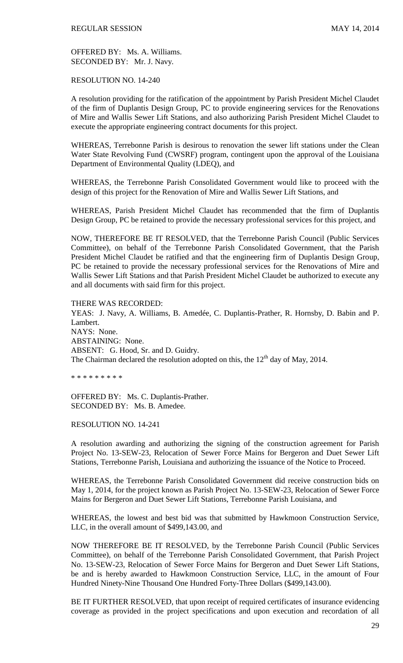OFFERED BY: Ms. A. Williams. SECONDED BY: Mr. J. Navy.

RESOLUTION NO. 14-240

A resolution providing for the ratification of the appointment by Parish President Michel Claudet of the firm of Duplantis Design Group, PC to provide engineering services for the Renovations of Mire and Wallis Sewer Lift Stations, and also authorizing Parish President Michel Claudet to execute the appropriate engineering contract documents for this project.

WHEREAS, Terrebonne Parish is desirous to renovation the sewer lift stations under the Clean Water State Revolving Fund (CWSRF) program, contingent upon the approval of the Louisiana Department of Environmental Quality (LDEQ), and

WHEREAS, the Terrebonne Parish Consolidated Government would like to proceed with the design of this project for the Renovation of Mire and Wallis Sewer Lift Stations, and

WHEREAS, Parish President Michel Claudet has recommended that the firm of Duplantis Design Group, PC be retained to provide the necessary professional services for this project, and

NOW, THEREFORE BE IT RESOLVED, that the Terrebonne Parish Council (Public Services Committee), on behalf of the Terrebonne Parish Consolidated Government, that the Parish President Michel Claudet be ratified and that the engineering firm of Duplantis Design Group, PC be retained to provide the necessary professional services for the Renovations of Mire and Wallis Sewer Lift Stations and that Parish President Michel Claudet be authorized to execute any and all documents with said firm for this project.

THERE WAS RECORDED: YEAS: J. Navy, A. Williams, B. Amedée, C. Duplantis-Prather, R. Hornsby, D. Babin and P. Lambert. NAYS: None. ABSTAINING: None. ABSENT: G. Hood, Sr. and D. Guidry. The Chairman declared the resolution adopted on this, the  $12<sup>th</sup>$  day of May, 2014.

\* \* \* \* \* \* \* \* \*

OFFERED BY: Ms. C. Duplantis-Prather. SECONDED BY: Ms. B. Amedee.

### RESOLUTION NO. 14-241

A resolution awarding and authorizing the signing of the construction agreement for Parish Project No. 13-SEW-23, Relocation of Sewer Force Mains for Bergeron and Duet Sewer Lift Stations, Terrebonne Parish, Louisiana and authorizing the issuance of the Notice to Proceed.

WHEREAS, the Terrebonne Parish Consolidated Government did receive construction bids on May 1, 2014, for the project known as Parish Project No. 13-SEW-23, Relocation of Sewer Force Mains for Bergeron and Duet Sewer Lift Stations, Terrebonne Parish Louisiana, and

WHEREAS, the lowest and best bid was that submitted by Hawkmoon Construction Service, LLC, in the overall amount of \$499,143.00, and

NOW THEREFORE BE IT RESOLVED, by the Terrebonne Parish Council (Public Services Committee), on behalf of the Terrebonne Parish Consolidated Government, that Parish Project No. 13-SEW-23, Relocation of Sewer Force Mains for Bergeron and Duet Sewer Lift Stations, be and is hereby awarded to Hawkmoon Construction Service, LLC, in the amount of Four Hundred Ninety-Nine Thousand One Hundred Forty-Three Dollars (\$499,143.00).

BE IT FURTHER RESOLVED, that upon receipt of required certificates of insurance evidencing coverage as provided in the project specifications and upon execution and recordation of all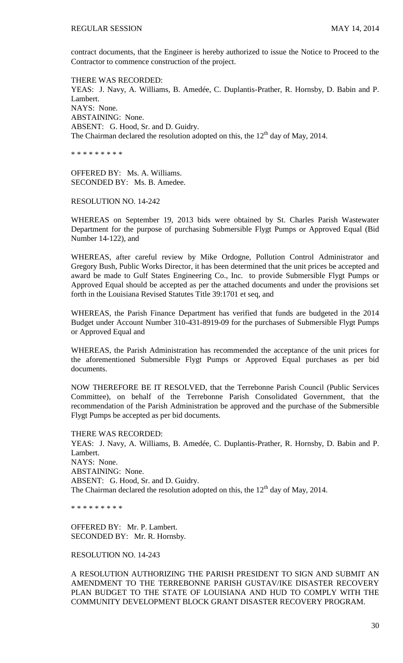contract documents, that the Engineer is hereby authorized to issue the Notice to Proceed to the Contractor to commence construction of the project.

THERE WAS RECORDED: YEAS: J. Navy, A. Williams, B. Amedée, C. Duplantis-Prather, R. Hornsby, D. Babin and P. Lambert. NAYS: None. ABSTAINING: None. ABSENT: G. Hood, Sr. and D. Guidry. The Chairman declared the resolution adopted on this, the  $12<sup>th</sup>$  day of May, 2014.

\* \* \* \* \* \* \* \* \*

OFFERED BY: Ms. A. Williams. SECONDED BY: Ms. B. Amedee.

RESOLUTION NO. 14-242

WHEREAS on September 19, 2013 bids were obtained by St. Charles Parish Wastewater Department for the purpose of purchasing Submersible Flygt Pumps or Approved Equal (Bid Number 14-122), and

WHEREAS, after careful review by Mike Ordogne, Pollution Control Administrator and Gregory Bush, Public Works Director, it has been determined that the unit prices be accepted and award be made to Gulf States Engineering Co., Inc. to provide Submersible Flygt Pumps or Approved Equal should be accepted as per the attached documents and under the provisions set forth in the Louisiana Revised Statutes Title 39:1701 et seq, and

WHEREAS, the Parish Finance Department has verified that funds are budgeted in the 2014 Budget under Account Number 310-431-8919-09 for the purchases of Submersible Flygt Pumps or Approved Equal and

WHEREAS, the Parish Administration has recommended the acceptance of the unit prices for the aforementioned Submersible Flygt Pumps or Approved Equal purchases as per bid documents.

NOW THEREFORE BE IT RESOLVED, that the Terrebonne Parish Council (Public Services Committee), on behalf of the Terrebonne Parish Consolidated Government, that the recommendation of the Parish Administration be approved and the purchase of the Submersible Flygt Pumps be accepted as per bid documents.

THERE WAS RECORDED: YEAS: J. Navy, A. Williams, B. Amedée, C. Duplantis-Prather, R. Hornsby, D. Babin and P. Lambert. NAYS: None. ABSTAINING: None. ABSENT: G. Hood, Sr. and D. Guidry. The Chairman declared the resolution adopted on this, the  $12<sup>th</sup>$  day of May, 2014.

\* \* \* \* \* \* \* \* \*

OFFERED BY: Mr. P. Lambert. SECONDED BY: Mr. R. Hornsby.

RESOLUTION NO. 14-243

A RESOLUTION AUTHORIZING THE PARISH PRESIDENT TO SIGN AND SUBMIT AN AMENDMENT TO THE TERREBONNE PARISH GUSTAV/IKE DISASTER RECOVERY PLAN BUDGET TO THE STATE OF LOUISIANA AND HUD TO COMPLY WITH THE COMMUNITY DEVELOPMENT BLOCK GRANT DISASTER RECOVERY PROGRAM.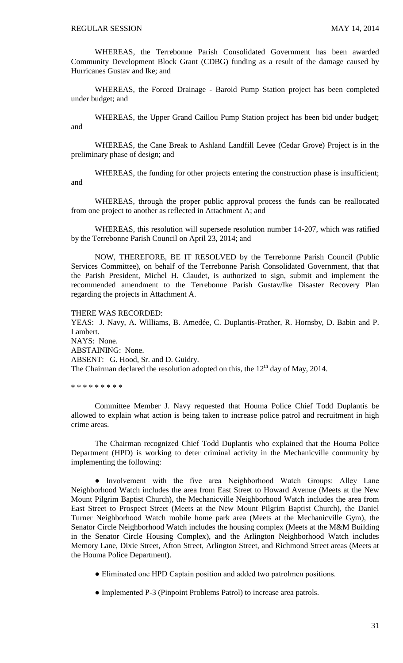WHEREAS, the Terrebonne Parish Consolidated Government has been awarded Community Development Block Grant (CDBG) funding as a result of the damage caused by Hurricanes Gustav and Ike; and

WHEREAS, the Forced Drainage - Baroid Pump Station project has been completed under budget; and

WHEREAS, the Upper Grand Caillou Pump Station project has been bid under budget; and

WHEREAS, the Cane Break to Ashland Landfill Levee (Cedar Grove) Project is in the preliminary phase of design; and

WHEREAS, the funding for other projects entering the construction phase is insufficient; and

WHEREAS, through the proper public approval process the funds can be reallocated from one project to another as reflected in Attachment A; and

WHEREAS, this resolution will supersede resolution number 14-207, which was ratified by the Terrebonne Parish Council on April 23, 2014; and

NOW, THEREFORE, BE IT RESOLVED by the Terrebonne Parish Council (Public Services Committee), on behalf of the Terrebonne Parish Consolidated Government, that that the Parish President, Michel H. Claudet, is authorized to sign, submit and implement the recommended amendment to the Terrebonne Parish Gustav/Ike Disaster Recovery Plan regarding the projects in Attachment A.

### THERE WAS RECORDED:

YEAS: J. Navy, A. Williams, B. Amedée, C. Duplantis-Prather, R. Hornsby, D. Babin and P. Lambert. NAYS: None. ABSTAINING: None. ABSENT: G. Hood, Sr. and D. Guidry. The Chairman declared the resolution adopted on this, the  $12<sup>th</sup>$  day of May, 2014.

\* \* \* \* \* \* \* \* \*

Committee Member J. Navy requested that Houma Police Chief Todd Duplantis be allowed to explain what action is being taken to increase police patrol and recruitment in high crime areas.

The Chairman recognized Chief Todd Duplantis who explained that the Houma Police Department (HPD) is working to deter criminal activity in the Mechanicville community by implementing the following:

● Involvement with the five area Neighborhood Watch Groups: Alley Lane Neighborhood Watch includes the area from East Street to Howard Avenue (Meets at the New Mount Pilgrim Baptist Church), the Mechanicville Neighborhood Watch includes the area from East Street to Prospect Street (Meets at the New Mount Pilgrim Baptist Church), the Daniel Turner Neighborhood Watch mobile home park area (Meets at the Mechanicville Gym), the Senator Circle Neighborhood Watch includes the housing complex (Meets at the M&M Building in the Senator Circle Housing Complex), and the Arlington Neighborhood Watch includes Memory Lane, Dixie Street, Afton Street, Arlington Street, and Richmond Street areas (Meets at the Houma Police Department).

- Eliminated one HPD Captain position and added two patrolmen positions.
- Implemented P-3 (Pinpoint Problems Patrol) to increase area patrols.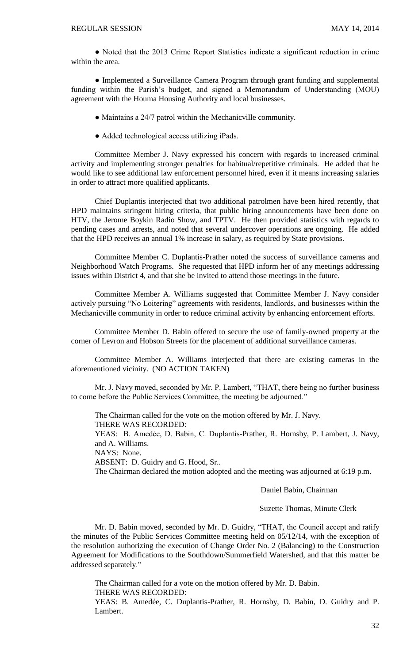● Noted that the 2013 Crime Report Statistics indicate a significant reduction in crime within the area.

● Implemented a Surveillance Camera Program through grant funding and supplemental funding within the Parish's budget, and signed a Memorandum of Understanding (MOU) agreement with the Houma Housing Authority and local businesses.

- Maintains a 24/7 patrol within the Mechanicville community.
- Added technological access utilizing iPads.

Committee Member J. Navy expressed his concern with regards to increased criminal activity and implementing stronger penalties for habitual/repetitive criminals. He added that he would like to see additional law enforcement personnel hired, even if it means increasing salaries in order to attract more qualified applicants.

Chief Duplantis interjected that two additional patrolmen have been hired recently, that HPD maintains stringent hiring criteria, that public hiring announcements have been done on HTV, the Jerome Boykin Radio Show, and TPTV. He then provided statistics with regards to pending cases and arrests, and noted that several undercover operations are ongoing. He added that the HPD receives an annual 1% increase in salary, as required by State provisions.

Committee Member C. Duplantis-Prather noted the success of surveillance cameras and Neighborhood Watch Programs. She requested that HPD inform her of any meetings addressing issues within District 4, and that she be invited to attend those meetings in the future.

Committee Member A. Williams suggested that Committee Member J. Navy consider actively pursuing "No Loitering" agreements with residents, landlords, and businesses within the Mechanicville community in order to reduce criminal activity by enhancing enforcement efforts.

Committee Member D. Babin offered to secure the use of family-owned property at the corner of Levron and Hobson Streets for the placement of additional surveillance cameras.

Committee Member A. Williams interjected that there are existing cameras in the aforementioned vicinity. (NO ACTION TAKEN)

Mr. J. Navy moved, seconded by Mr. P. Lambert, "THAT, there being no further business to come before the Public Services Committee, the meeting be adjourned."

The Chairman called for the vote on the motion offered by Mr. J. Navy. THERE WAS RECORDED:

YEAS: B. Amedėe, D. Babin, C. Duplantis-Prather, R. Hornsby, P. Lambert, J. Navy, and A. Williams.

NAYS: None.

ABSENT: D. Guidry and G. Hood, Sr..

The Chairman declared the motion adopted and the meeting was adjourned at 6:19 p.m.

#### Daniel Babin, Chairman

Suzette Thomas, Minute Clerk

Mr. D. Babin moved, seconded by Mr. D. Guidry, "THAT, the Council accept and ratify the minutes of the Public Services Committee meeting held on 05/12/14, with the exception of the resolution authorizing the execution of Change Order No. 2 (Balancing) to the Construction Agreement for Modifications to the Southdown/Summerfield Watershed, and that this matter be addressed separately."

The Chairman called for a vote on the motion offered by Mr. D. Babin. THERE WAS RECORDED:

YEAS: B. Amedée, C. Duplantis-Prather, R. Hornsby, D. Babin, D. Guidry and P. Lambert.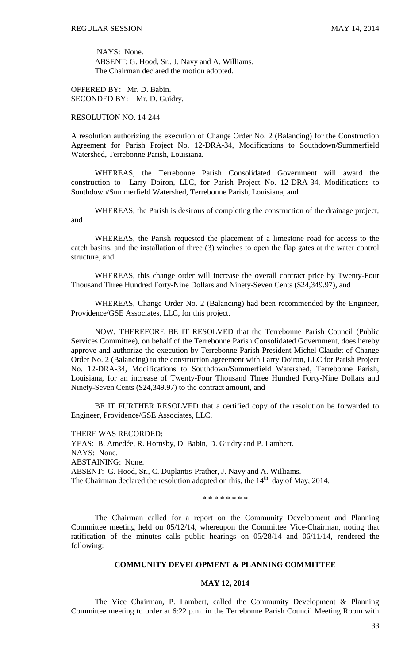NAYS: None. ABSENT: G. Hood, Sr., J. Navy and A. Williams. The Chairman declared the motion adopted.

OFFERED BY: Mr. D. Babin. SECONDED BY: Mr. D. Guidry.

RESOLUTION NO. 14-244

A resolution authorizing the execution of Change Order No. 2 (Balancing) for the Construction Agreement for Parish Project No. 12-DRA-34, Modifications to Southdown/Summerfield Watershed, Terrebonne Parish, Louisiana.

WHEREAS, the Terrebonne Parish Consolidated Government will award the construction to Larry Doiron, LLC, for Parish Project No. 12-DRA-34, Modifications to Southdown/Summerfield Watershed, Terrebonne Parish, Louisiana, and

WHEREAS, the Parish is desirous of completing the construction of the drainage project, and

WHEREAS, the Parish requested the placement of a limestone road for access to the catch basins, and the installation of three (3) winches to open the flap gates at the water control structure, and

WHEREAS, this change order will increase the overall contract price by Twenty-Four Thousand Three Hundred Forty-Nine Dollars and Ninety-Seven Cents (\$24,349.97), and

WHEREAS, Change Order No. 2 (Balancing) had been recommended by the Engineer, Providence/GSE Associates, LLC, for this project.

NOW, THEREFORE BE IT RESOLVED that the Terrebonne Parish Council (Public Services Committee), on behalf of the Terrebonne Parish Consolidated Government, does hereby approve and authorize the execution by Terrebonne Parish President Michel Claudet of Change Order No. 2 (Balancing) to the construction agreement with Larry Doiron, LLC for Parish Project No. 12-DRA-34, Modifications to Southdown/Summerfield Watershed, Terrebonne Parish, Louisiana, for an increase of Twenty-Four Thousand Three Hundred Forty-Nine Dollars and Ninety-Seven Cents (\$24,349.97) to the contract amount, and

BE IT FURTHER RESOLVED that a certified copy of the resolution be forwarded to Engineer, Providence/GSE Associates, LLC.

THERE WAS RECORDED:

YEAS: B. Amedée, R. Hornsby, D. Babin, D. Guidry and P. Lambert. NAYS: None. ABSTAINING: None. ABSENT: G. Hood, Sr., C. Duplantis-Prather, J. Navy and A. Williams. The Chairman declared the resolution adopted on this, the  $14<sup>th</sup>$  day of May, 2014.

\* \* \* \* \* \* \* \*

The Chairman called for a report on the Community Development and Planning Committee meeting held on 05/12/14, whereupon the Committee Vice-Chairman, noting that ratification of the minutes calls public hearings on 05/28/14 and 06/11/14, rendered the following:

### **COMMUNITY DEVELOPMENT & PLANNING COMMITTEE**

#### **MAY 12, 2014**

The Vice Chairman, P. Lambert, called the Community Development & Planning Committee meeting to order at 6:22 p.m. in the Terrebonne Parish Council Meeting Room with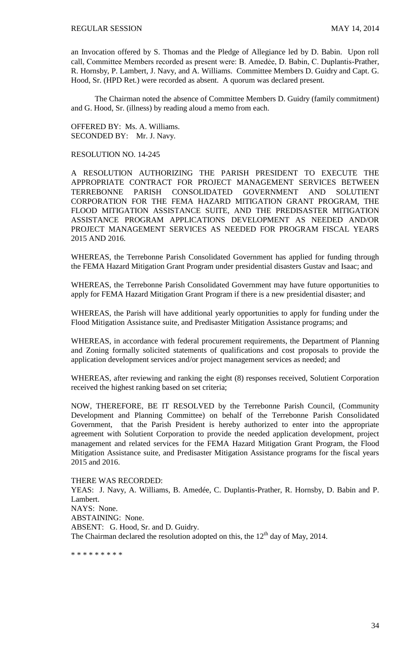an Invocation offered by S. Thomas and the Pledge of Allegiance led by D. Babin. Upon roll call, Committee Members recorded as present were: B. Amedẻe, D. Babin, C. Duplantis-Prather, R. Hornsby, P. Lambert, J. Navy, and A. Williams. Committee Members D. Guidry and Capt. G. Hood, Sr. (HPD Ret.) were recorded as absent. A quorum was declared present.

The Chairman noted the absence of Committee Members D. Guidry (family commitment) and G. Hood, Sr. (illness) by reading aloud a memo from each.

OFFERED BY: Ms. A. Williams. SECONDED BY: Mr. J. Navy.

### RESOLUTION NO. 14-245

A RESOLUTION AUTHORIZING THE PARISH PRESIDENT TO EXECUTE THE APPROPRIATE CONTRACT FOR PROJECT MANAGEMENT SERVICES BETWEEN TERREBONNE PARISH CONSOLIDATED GOVERNMENT AND SOLUTIENT CORPORATION FOR THE FEMA HAZARD MITIGATION GRANT PROGRAM, THE FLOOD MITIGATION ASSISTANCE SUITE, AND THE PREDISASTER MITIGATION ASSISTANCE PROGRAM APPLICATIONS DEVELOPMENT AS NEEDED AND/OR PROJECT MANAGEMENT SERVICES AS NEEDED FOR PROGRAM FISCAL YEARS 2015 AND 2016.

WHEREAS, the Terrebonne Parish Consolidated Government has applied for funding through the FEMA Hazard Mitigation Grant Program under presidential disasters Gustav and Isaac; and

WHEREAS, the Terrebonne Parish Consolidated Government may have future opportunities to apply for FEMA Hazard Mitigation Grant Program if there is a new presidential disaster; and

WHEREAS, the Parish will have additional yearly opportunities to apply for funding under the Flood Mitigation Assistance suite, and Predisaster Mitigation Assistance programs; and

WHEREAS, in accordance with federal procurement requirements, the Department of Planning and Zoning formally solicited statements of qualifications and cost proposals to provide the application development services and/or project management services as needed; and

WHEREAS, after reviewing and ranking the eight (8) responses received, Solutient Corporation received the highest ranking based on set criteria;

NOW, THEREFORE, BE IT RESOLVED by the Terrebonne Parish Council, (Community Development and Planning Committee) on behalf of the Terrebonne Parish Consolidated Government, that the Parish President is hereby authorized to enter into the appropriate agreement with Solutient Corporation to provide the needed application development, project management and related services for the FEMA Hazard Mitigation Grant Program, the Flood Mitigation Assistance suite, and Predisaster Mitigation Assistance programs for the fiscal years 2015 and 2016.

# THERE WAS RECORDED:

YEAS: J. Navy, A. Williams, B. Amedée, C. Duplantis-Prather, R. Hornsby, D. Babin and P. Lambert. NAYS: None.

ABSTAINING: None.

ABSENT: G. Hood, Sr. and D. Guidry.

The Chairman declared the resolution adopted on this, the  $12<sup>th</sup>$  day of May, 2014.

\* \* \* \* \* \* \* \* \*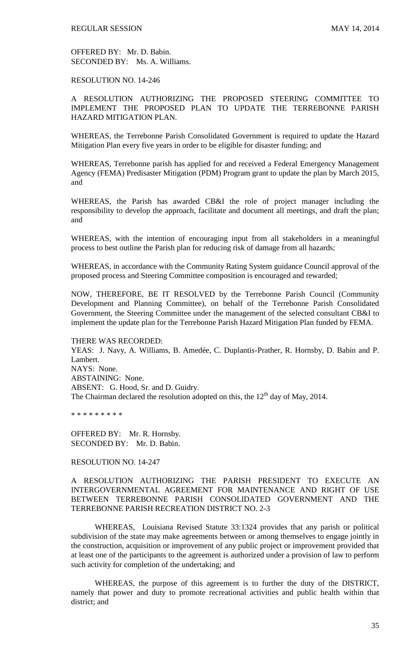OFFERED BY: Mr. D. Babin. SECONDED BY: Ms. A. Williams.

RESOLUTION NO. 14-246

A RESOLUTION AUTHORIZING THE PROPOSED STEERING COMMITTEE TO IMPLEMENT THE PROPOSED PLAN TO UPDATE THE TERREBONNE PARISH HAZARD MITIGATION PLAN.

WHEREAS, the Terrebonne Parish Consolidated Government is required to update the Hazard Mitigation Plan every five years in order to be eligible for disaster funding; and

WHEREAS, Terrebonne parish has applied for and received a Federal Emergency Management Agency (FEMA) Predisaster Mitigation (PDM) Program grant to update the plan by March 2015, and

WHEREAS, the Parish has awarded CB&I the role of project manager including the responsibility to develop the approach, facilitate and document all meetings, and draft the plan; and

WHEREAS, with the intention of encouraging input from all stakeholders in a meaningful process to best outline the Parish plan for reducing risk of damage from all hazards;

WHEREAS, in accordance with the Community Rating System guidance Council approval of the proposed process and Steering Committee composition is encouraged and rewarded;

NOW, THEREFORE, BE IT RESOLVED by the Terrebonne Parish Council (Community Development and Planning Committee), on behalf of the Terrebonne Parish Consolidated Government, the Steering Committee under the management of the selected consultant CB&I to implement the update plan for the Terrebonne Parish Hazard Mitigation Plan funded by FEMA.

THERE WAS RECORDED:

YEAS: J. Navy, A. Williams, B. Amedée, C. Duplantis-Prather, R. Hornsby, D. Babin and P. Lambert. NAYS: None. ABSTAINING: None. ABSENT: G. Hood, Sr. and D. Guidry. The Chairman declared the resolution adopted on this, the  $12<sup>th</sup>$  day of May, 2014.

\* \* \* \* \* \* \* \* \*

OFFERED BY: Mr. R. Hornsby. SECONDED BY: Mr. D. Babin.

RESOLUTION NO. 14-247

# A RESOLUTION AUTHORIZING THE PARISH PRESIDENT TO EXECUTE AN INTERGOVERNMENTAL AGREEMENT FOR MAINTENANCE AND RIGHT OF USE BETWEEN TERREBONNE PARISH CONSOLIDATED GOVERNMENT AND THE TERREBONNE PARISH RECREATION DISTRICT NO. 2-3

WHEREAS, Louisiana Revised Statute 33:1324 provides that any parish or political subdivision of the state may make agreements between or among themselves to engage jointly in the construction, acquisition or improvement of any public project or improvement provided that at least one of the participants to the agreement is authorized under a provision of law to perform such activity for completion of the undertaking; and

WHEREAS, the purpose of this agreement is to further the duty of the DISTRICT, namely that power and duty to promote recreational activities and public health within that district; and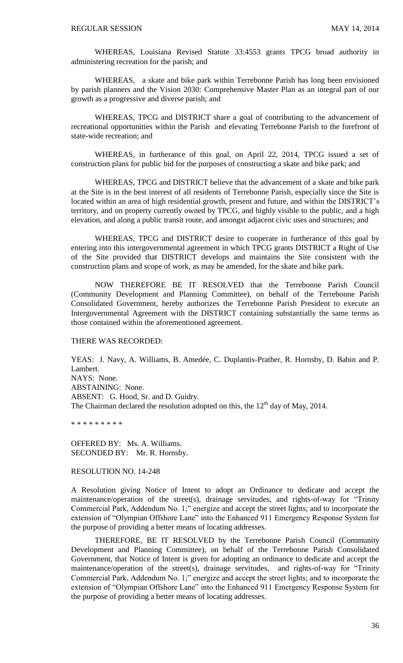WHEREAS, Louisiana Revised Statute 33:4553 grants TPCG broad authority in administering recreation for the parish; and

WHEREAS, a skate and bike park within Terrebonne Parish has long been envisioned by parish planners and the Vision 2030: Comprehensive Master Plan as an integral part of our growth as a progressive and diverse parish; and

WHEREAS, TPCG and DISTRICT share a goal of contributing to the advancement of recreational opportunities within the Parish and elevating Terrebonne Parish to the forefront of state-wide recreation; and

WHEREAS, in furtherance of this goal, on April 22, 2014, TPCG issued a set of construction plans for public bid for the purposes of constructing a skate and bike park; and

WHEREAS, TPCG and DISTRICT believe that the advancement of a skate and bike park at the Site is in the best interest of all residents of Terrebonne Parish, especially since the Site is located within an area of high residential growth, present and future, and within the DISTRICT's territory, and on property currently owned by TPCG, and highly visible to the public, and a high elevation, and along a public transit route, and amongst adjacent civic uses and structures; and

WHEREAS, TPCG and DISTRICT desire to cooperate in furtherance of this goal by entering into this intergovernmental agreement in which TPCG grants DISTRICT a Right of Use of the Site provided that DISTRICT develops and maintains the Site consistent with the construction plans and scope of work, as may be amended, for the skate and bike park.

NOW THEREFORE BE IT RESOLVED that the Terrebonne Parish Council (Community Development and Planning Committee), on behalf of the Terrebonne Parish Consolidated Government, hereby authorizes the Terrebonne Parish President to execute an Intergovernmental Agreement with the DISTRICT containing substantially the same terms as those contained within the aforementioned agreement.

#### THERE WAS RECORDED:

YEAS: J. Navy, A. Williams, B. Amedée, C. Duplantis-Prather, R. Hornsby, D. Babin and P. Lambert. NAYS: None. ABSTAINING: None. ABSENT: G. Hood, Sr. and D. Guidry. The Chairman declared the resolution adopted on this, the  $12<sup>th</sup>$  day of May, 2014.

\* \* \* \* \* \* \* \* \*

OFFERED BY: Ms. A. Williams. SECONDED BY: Mr. R. Hornsby.

RESOLUTION NO. 14-248

A Resolution giving Notice of Intent to adopt an Ordinance to dedicate and accept the maintenance/operation of the street(s), drainage servitudes, and rights-of-way for "Trinity Commercial Park, Addendum No. 1;" energize and accept the street lights; and to incorporate the extension of "Olympian Offshore Lane" into the Enhanced 911 Emergency Response System for the purpose of providing a better means of locating addresses.

THEREFORE, BE IT RESOLVED by the Terrebonne Parish Council (Community Development and Planning Committee), on behalf of the Terrebonne Parish Consolidated Government, that Notice of Intent is given for adopting an ordinance to dedicate and accept the maintenance/operation of the street(s), drainage servitudes, and rights-of-way for "Trinity Commercial Park, Addendum No. 1;" energize and accept the street lights; and to incorporate the extension of "Olympian Offshore Lane" into the Enhanced 911 Emergency Response System for the purpose of providing a better means of locating addresses.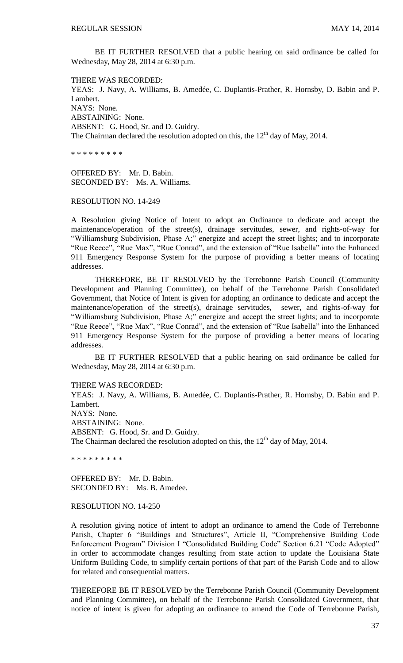BE IT FURTHER RESOLVED that a public hearing on said ordinance be called for Wednesday, May 28, 2014 at 6:30 p.m.

THERE WAS RECORDED: YEAS: J. Navy, A. Williams, B. Amedée, C. Duplantis-Prather, R. Hornsby, D. Babin and P. Lambert. NAYS: None. ABSTAINING: None. ABSENT: G. Hood, Sr. and D. Guidry. The Chairman declared the resolution adopted on this, the  $12<sup>th</sup>$  day of May, 2014.

\* \* \* \* \* \* \* \* \*

OFFERED BY: Mr. D. Babin. SECONDED BY: Ms. A. Williams.

#### RESOLUTION NO. 14-249

A Resolution giving Notice of Intent to adopt an Ordinance to dedicate and accept the maintenance/operation of the street(s), drainage servitudes, sewer, and rights-of-way for "Williamsburg Subdivision, Phase A;" energize and accept the street lights; and to incorporate "Rue Reece", "Rue Max", "Rue Conrad", and the extension of "Rue Isabella" into the Enhanced 911 Emergency Response System for the purpose of providing a better means of locating addresses.

THEREFORE, BE IT RESOLVED by the Terrebonne Parish Council (Community Development and Planning Committee), on behalf of the Terrebonne Parish Consolidated Government, that Notice of Intent is given for adopting an ordinance to dedicate and accept the maintenance/operation of the street(s), drainage servitudes, sewer, and rights-of-way for "Williamsburg Subdivision, Phase A;" energize and accept the street lights; and to incorporate "Rue Reece", "Rue Max", "Rue Conrad", and the extension of "Rue Isabella" into the Enhanced 911 Emergency Response System for the purpose of providing a better means of locating addresses.

BE IT FURTHER RESOLVED that a public hearing on said ordinance be called for Wednesday, May 28, 2014 at 6:30 p.m.

THERE WAS RECORDED:

YEAS: J. Navy, A. Williams, B. Amedée, C. Duplantis-Prather, R. Hornsby, D. Babin and P. Lambert. NAYS: None. ABSTAINING: None. ABSENT: G. Hood, Sr. and D. Guidry. The Chairman declared the resolution adopted on this, the  $12<sup>th</sup>$  day of May, 2014.

\* \* \* \* \* \* \* \* \*

OFFERED BY: Mr. D. Babin. SECONDED BY: Ms. B. Amedee.

#### RESOLUTION NO. 14-250

A resolution giving notice of intent to adopt an ordinance to amend the Code of Terrebonne Parish, Chapter 6 "Buildings and Structures", Article II, "Comprehensive Building Code Enforcement Program" Division I "Consolidated Building Code" Section 6.21 "Code Adopted" in order to accommodate changes resulting from state action to update the Louisiana State Uniform Building Code, to simplify certain portions of that part of the Parish Code and to allow for related and consequential matters.

THEREFORE BE IT RESOLVED by the Terrebonne Parish Council (Community Development and Planning Committee), on behalf of the Terrebonne Parish Consolidated Government, that notice of intent is given for adopting an ordinance to amend the Code of Terrebonne Parish,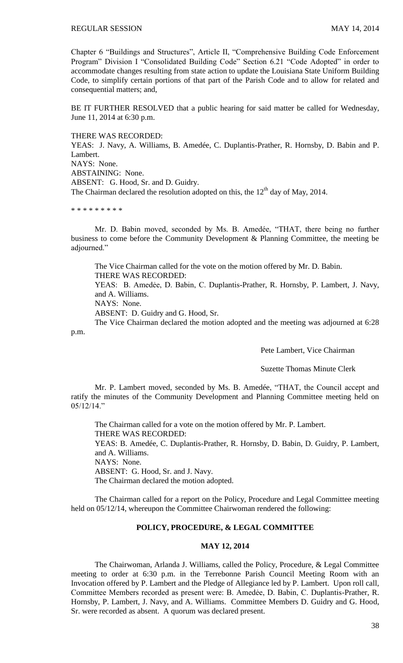Chapter 6 "Buildings and Structures", Article II, "Comprehensive Building Code Enforcement Program" Division I "Consolidated Building Code" Section 6.21 "Code Adopted" in order to accommodate changes resulting from state action to update the Louisiana State Uniform Building Code, to simplify certain portions of that part of the Parish Code and to allow for related and consequential matters; and,

BE IT FURTHER RESOLVED that a public hearing for said matter be called for Wednesday, June 11, 2014 at 6:30 p.m.

THERE WAS RECORDED: YEAS: J. Navy, A. Williams, B. Amedée, C. Duplantis-Prather, R. Hornsby, D. Babin and P. Lambert. NAYS: None. ABSTAINING: None. ABSENT: G. Hood, Sr. and D. Guidry. The Chairman declared the resolution adopted on this, the  $12<sup>th</sup>$  day of May, 2014.

\* \* \* \* \* \* \* \* \*

Mr. D. Babin moved, seconded by Ms. B. Amedée, "THAT, there being no further business to come before the Community Development & Planning Committee, the meeting be adjourned."

The Vice Chairman called for the vote on the motion offered by Mr. D. Babin. THERE WAS RECORDED:

YEAS: B. Amedėe, D. Babin, C. Duplantis-Prather, R. Hornsby, P. Lambert, J. Navy, and A. Williams.

NAYS: None.

ABSENT: D. Guidry and G. Hood, Sr.

The Vice Chairman declared the motion adopted and the meeting was adjourned at 6:28 p.m.

Pete Lambert, Vice Chairman

Suzette Thomas Minute Clerk

Mr. P. Lambert moved, seconded by Ms. B. Amedée, "THAT, the Council accept and ratify the minutes of the Community Development and Planning Committee meeting held on 05/12/14."

The Chairman called for a vote on the motion offered by Mr. P. Lambert. THERE WAS RECORDED: YEAS: B. Amedée, C. Duplantis-Prather, R. Hornsby, D. Babin, D. Guidry, P. Lambert, and A. Williams. NAYS: None. ABSENT: G. Hood, Sr. and J. Navy. The Chairman declared the motion adopted.

The Chairman called for a report on the Policy, Procedure and Legal Committee meeting held on 05/12/14, whereupon the Committee Chairwoman rendered the following:

# **POLICY, PROCEDURE, & LEGAL COMMITTEE**

### **MAY 12, 2014**

The Chairwoman, Arlanda J. Williams, called the Policy, Procedure, & Legal Committee meeting to order at 6:30 p.m. in the Terrebonne Parish Council Meeting Room with an Invocation offered by P. Lambert and the Pledge of Allegiance led by P. Lambert. Upon roll call, Committee Members recorded as present were: B. Amedẻe, D. Babin, C. Duplantis-Prather, R. Hornsby, P. Lambert, J. Navy, and A. Williams. Committee Members D. Guidry and G. Hood, Sr. were recorded as absent. A quorum was declared present.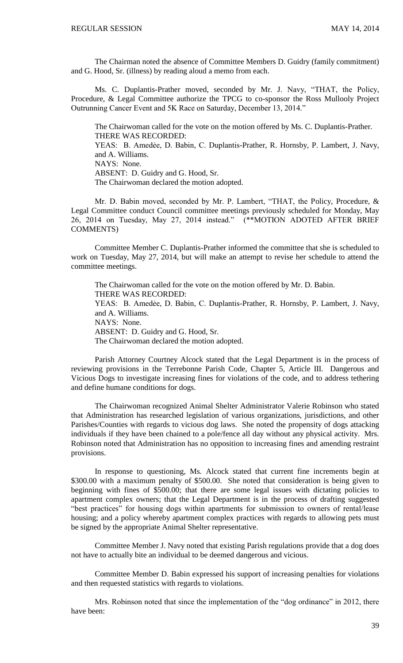The Chairman noted the absence of Committee Members D. Guidry (family commitment) and G. Hood, Sr. (illness) by reading aloud a memo from each.

Ms. C. Duplantis-Prather moved, seconded by Mr. J. Navy, "THAT, the Policy, Procedure, & Legal Committee authorize the TPCG to co-sponsor the Ross Mullooly Project Outrunning Cancer Event and 5K Race on Saturday, December 13, 2014."

The Chairwoman called for the vote on the motion offered by Ms. C. Duplantis-Prather. THERE WAS RECORDED:

YEAS: B. Amedėe, D. Babin, C. Duplantis-Prather, R. Hornsby, P. Lambert, J. Navy, and A. Williams.

NAYS: None.

ABSENT: D. Guidry and G. Hood, Sr.

The Chairwoman declared the motion adopted.

Mr. D. Babin moved, seconded by Mr. P. Lambert, "THAT, the Policy, Procedure, & Legal Committee conduct Council committee meetings previously scheduled for Monday, May 26, 2014 on Tuesday, May 27, 2014 instead." (\*\*MOTION ADOTED AFTER BRIEF COMMENTS)

Committee Member C. Duplantis-Prather informed the committee that she is scheduled to work on Tuesday, May 27, 2014, but will make an attempt to revise her schedule to attend the committee meetings.

The Chairwoman called for the vote on the motion offered by Mr. D. Babin. THERE WAS RECORDED: YEAS: B. Amedėe, D. Babin, C. Duplantis-Prather, R. Hornsby, P. Lambert, J. Navy, and A. Williams. NAYS: None. ABSENT: D. Guidry and G. Hood, Sr. The Chairwoman declared the motion adopted.

Parish Attorney Courtney Alcock stated that the Legal Department is in the process of reviewing provisions in the Terrebonne Parish Code, Chapter 5, Article III. Dangerous and Vicious Dogs to investigate increasing fines for violations of the code, and to address tethering and define humane conditions for dogs.

The Chairwoman recognized Animal Shelter Administrator Valerie Robinson who stated that Administration has researched legislation of various organizations, jurisdictions, and other Parishes/Counties with regards to vicious dog laws. She noted the propensity of dogs attacking individuals if they have been chained to a pole/fence all day without any physical activity. Mrs. Robinson noted that Administration has no opposition to increasing fines and amending restraint provisions.

In response to questioning, Ms. Alcock stated that current fine increments begin at \$300.00 with a maximum penalty of \$500.00. She noted that consideration is being given to beginning with fines of \$500.00; that there are some legal issues with dictating policies to apartment complex owners; that the Legal Department is in the process of drafting suggested "best practices" for housing dogs within apartments for submission to owners of rental/lease housing; and a policy whereby apartment complex practices with regards to allowing pets must be signed by the appropriate Animal Shelter representative.

Committee Member J. Navy noted that existing Parish regulations provide that a dog does not have to actually bite an individual to be deemed dangerous and vicious.

Committee Member D. Babin expressed his support of increasing penalties for violations and then requested statistics with regards to violations.

Mrs. Robinson noted that since the implementation of the "dog ordinance" in 2012, there have been: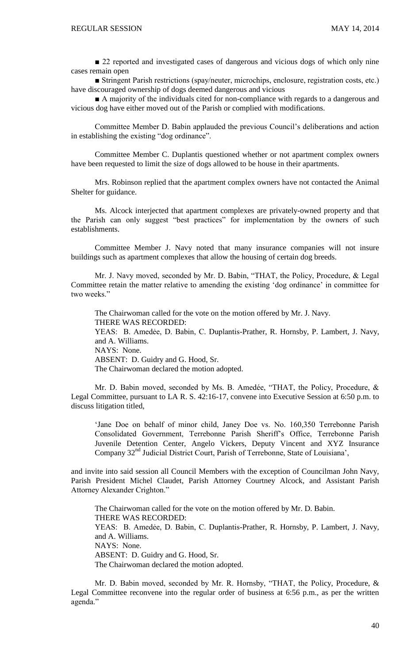■ 22 reported and investigated cases of dangerous and vicious dogs of which only nine cases remain open

■ Stringent Parish restrictions (spay/neuter, microchips, enclosure, registration costs, etc.) have discouraged ownership of dogs deemed dangerous and vicious

■ A majority of the individuals cited for non-compliance with regards to a dangerous and vicious dog have either moved out of the Parish or complied with modifications.

Committee Member D. Babin applauded the previous Council's deliberations and action in establishing the existing "dog ordinance".

Committee Member C. Duplantis questioned whether or not apartment complex owners have been requested to limit the size of dogs allowed to be house in their apartments.

Mrs. Robinson replied that the apartment complex owners have not contacted the Animal Shelter for guidance.

Ms. Alcock interjected that apartment complexes are privately-owned property and that the Parish can only suggest "best practices" for implementation by the owners of such establishments.

Committee Member J. Navy noted that many insurance companies will not insure buildings such as apartment complexes that allow the housing of certain dog breeds.

Mr. J. Navy moved, seconded by Mr. D. Babin, "THAT, the Policy, Procedure, & Legal Committee retain the matter relative to amending the existing 'dog ordinance' in committee for two weeks."

The Chairwoman called for the vote on the motion offered by Mr. J. Navy. THERE WAS RECORDED: YEAS: B. Amedėe, D. Babin, C. Duplantis-Prather, R. Hornsby, P. Lambert, J. Navy, and A. Williams. NAYS: None. ABSENT: D. Guidry and G. Hood, Sr. The Chairwoman declared the motion adopted.

Mr. D. Babin moved, seconded by Ms. B. Amedée, "THAT, the Policy, Procedure, & Legal Committee, pursuant to LA R. S. 42:16-17, convene into Executive Session at 6:50 p.m. to discuss litigation titled,

'Jane Doe on behalf of minor child, Janey Doe vs. No. 160,350 Terrebonne Parish Consolidated Government, Terrebonne Parish Sheriff's Office, Terrebonne Parish Juvenile Detention Center, Angelo Vickers, Deputy Vincent and XYZ Insurance Company 32nd Judicial District Court, Parish of Terrebonne, State of Louisiana',

and invite into said session all Council Members with the exception of Councilman John Navy, Parish President Michel Claudet, Parish Attorney Courtney Alcock, and Assistant Parish Attorney Alexander Crighton."

The Chairwoman called for the vote on the motion offered by Mr. D. Babin. THERE WAS RECORDED: YEAS: B. Amedėe, D. Babin, C. Duplantis-Prather, R. Hornsby, P. Lambert, J. Navy, and A. Williams. NAYS: None. ABSENT: D. Guidry and G. Hood, Sr. The Chairwoman declared the motion adopted.

Mr. D. Babin moved, seconded by Mr. R. Hornsby, "THAT, the Policy, Procedure, & Legal Committee reconvene into the regular order of business at 6:56 p.m., as per the written agenda."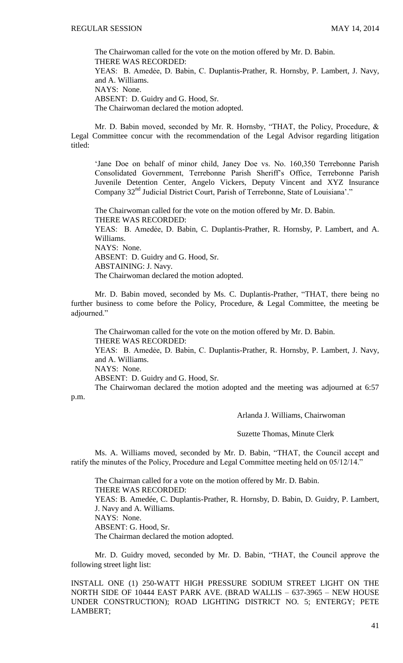The Chairwoman called for the vote on the motion offered by Mr. D. Babin. THERE WAS RECORDED: YEAS: B. Amedėe, D. Babin, C. Duplantis-Prather, R. Hornsby, P. Lambert, J. Navy, and A. Williams. NAYS: None. ABSENT: D. Guidry and G. Hood, Sr. The Chairwoman declared the motion adopted.

Mr. D. Babin moved, seconded by Mr. R. Hornsby, "THAT, the Policy, Procedure, & Legal Committee concur with the recommendation of the Legal Advisor regarding litigation titled:

'Jane Doe on behalf of minor child, Janey Doe vs. No. 160,350 Terrebonne Parish Consolidated Government, Terrebonne Parish Sheriff's Office, Terrebonne Parish Juvenile Detention Center, Angelo Vickers, Deputy Vincent and XYZ Insurance Company 32<sup>nd</sup> Judicial District Court, Parish of Terrebonne, State of Louisiana'."

The Chairwoman called for the vote on the motion offered by Mr. D. Babin. THERE WAS RECORDED: YEAS: B. Amedée, D. Babin, C. Duplantis-Prather, R. Hornsby, P. Lambert, and A. Williams. NAYS: None. ABSENT: D. Guidry and G. Hood, Sr. ABSTAINING: J. Navy. The Chairwoman declared the motion adopted.

Mr. D. Babin moved, seconded by Ms. C. Duplantis-Prather, "THAT, there being no further business to come before the Policy, Procedure, & Legal Committee, the meeting be adjourned."

The Chairwoman called for the vote on the motion offered by Mr. D. Babin. THERE WAS RECORDED: YEAS: B. Amedėe, D. Babin, C. Duplantis-Prather, R. Hornsby, P. Lambert, J. Navy, and A. Williams. NAYS: None. ABSENT: D. Guidry and G. Hood, Sr. The Chairwoman declared the motion adopted and the meeting was adjourned at 6:57

p.m.

Arlanda J. Williams, Chairwoman

Suzette Thomas, Minute Clerk

Ms. A. Williams moved, seconded by Mr. D. Babin, "THAT, the Council accept and ratify the minutes of the Policy, Procedure and Legal Committee meeting held on 05/12/14."

The Chairman called for a vote on the motion offered by Mr. D. Babin. THERE WAS RECORDED: YEAS: B. Amedée, C. Duplantis-Prather, R. Hornsby, D. Babin, D. Guidry, P. Lambert, J. Navy and A. Williams. NAYS: None. ABSENT: G. Hood, Sr. The Chairman declared the motion adopted.

Mr. D. Guidry moved, seconded by Mr. D. Babin, "THAT, the Council approve the following street light list:

INSTALL ONE (1) 250-WATT HIGH PRESSURE SODIUM STREET LIGHT ON THE NORTH SIDE OF 10444 EAST PARK AVE. (BRAD WALLIS – 637-3965 – NEW HOUSE UNDER CONSTRUCTION); ROAD LIGHTING DISTRICT NO. 5; ENTERGY; PETE LAMBERT;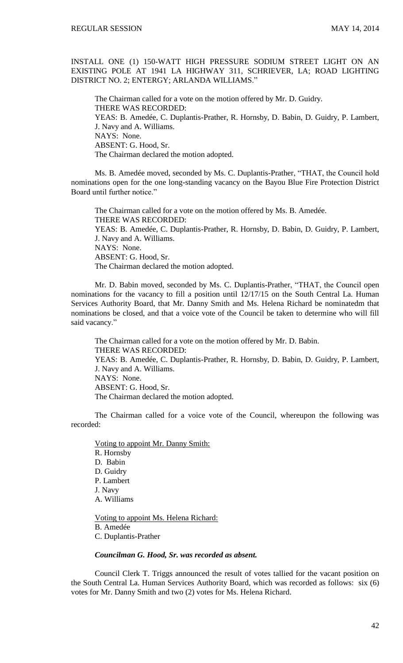INSTALL ONE (1) 150-WATT HIGH PRESSURE SODIUM STREET LIGHT ON AN EXISTING POLE AT 1941 LA HIGHWAY 311, SCHRIEVER, LA; ROAD LIGHTING DISTRICT NO. 2; ENTERGY; ARLANDA WILLIAMS."

 The Chairman called for a vote on the motion offered by Mr. D. Guidry. THERE WAS RECORDED: YEAS: B. Amedée, C. Duplantis-Prather, R. Hornsby, D. Babin, D. Guidry, P. Lambert, J. Navy and A. Williams. NAYS: None. ABSENT: G. Hood, Sr. The Chairman declared the motion adopted.

Ms. B. Amedée moved, seconded by Ms. C. Duplantis-Prather, "THAT, the Council hold nominations open for the one long-standing vacancy on the Bayou Blue Fire Protection District Board until further notice."

The Chairman called for a vote on the motion offered by Ms. B. Amedée. THERE WAS RECORDED: YEAS: B. Amedée, C. Duplantis-Prather, R. Hornsby, D. Babin, D. Guidry, P. Lambert, J. Navy and A. Williams. NAYS: None. ABSENT: G. Hood, Sr. The Chairman declared the motion adopted.

Mr. D. Babin moved, seconded by Ms. C. Duplantis-Prather, "THAT, the Council open nominations for the vacancy to fill a position until 12/17/15 on the South Central La. Human Services Authority Board, that Mr. Danny Smith and Ms. Helena Richard be nominatedm that nominations be closed, and that a voice vote of the Council be taken to determine who will fill said vacancy."

The Chairman called for a vote on the motion offered by Mr. D. Babin. THERE WAS RECORDED: YEAS: B. Amedée, C. Duplantis-Prather, R. Hornsby, D. Babin, D. Guidry, P. Lambert, J. Navy and A. Williams. NAYS: None. ABSENT: G. Hood, Sr. The Chairman declared the motion adopted.

The Chairman called for a voice vote of the Council, whereupon the following was recorded:

Voting to appoint Mr. Danny Smith: R. Hornsby D. Babin D. Guidry P. Lambert J. Navy A. Williams

Voting to appoint Ms. Helena Richard: B. Amedée C. Duplantis-Prather

# *Councilman G. Hood, Sr. was recorded as absent.*

Council Clerk T. Triggs announced the result of votes tallied for the vacant position on the South Central La. Human Services Authority Board, which was recorded as follows: six (6) votes for Mr. Danny Smith and two (2) votes for Ms. Helena Richard.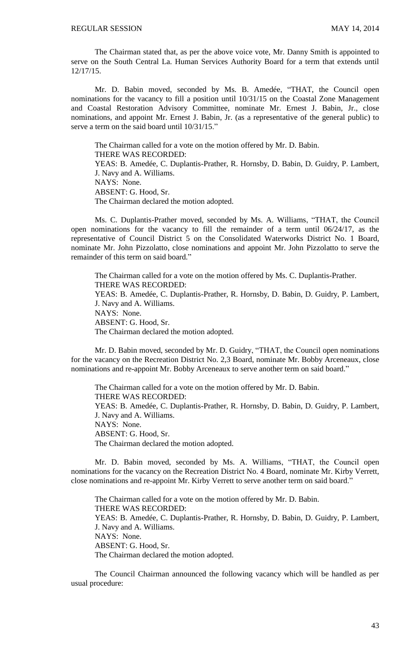The Chairman stated that, as per the above voice vote, Mr. Danny Smith is appointed to serve on the South Central La. Human Services Authority Board for a term that extends until 12/17/15.

Mr. D. Babin moved, seconded by Ms. B. Amedée, "THAT, the Council open nominations for the vacancy to fill a position until 10/31/15 on the Coastal Zone Management and Coastal Restoration Advisory Committee, nominate Mr. Ernest J. Babin, Jr., close nominations, and appoint Mr. Ernest J. Babin, Jr. (as a representative of the general public) to serve a term on the said board until 10/31/15."

The Chairman called for a vote on the motion offered by Mr. D. Babin. THERE WAS RECORDED: YEAS: B. Amedée, C. Duplantis-Prather, R. Hornsby, D. Babin, D. Guidry, P. Lambert, J. Navy and A. Williams. NAYS: None. ABSENT: G. Hood, Sr. The Chairman declared the motion adopted.

Ms. C. Duplantis-Prather moved, seconded by Ms. A. Williams, "THAT, the Council open nominations for the vacancy to fill the remainder of a term until 06/24/17, as the representative of Council District 5 on the Consolidated Waterworks District No. 1 Board, nominate Mr. John Pizzolatto, close nominations and appoint Mr. John Pizzolatto to serve the remainder of this term on said board."

The Chairman called for a vote on the motion offered by Ms. C. Duplantis-Prather. THERE WAS RECORDED: YEAS: B. Amedée, C. Duplantis-Prather, R. Hornsby, D. Babin, D. Guidry, P. Lambert, J. Navy and A. Williams. NAYS: None. ABSENT: G. Hood, Sr. The Chairman declared the motion adopted.

Mr. D. Babin moved, seconded by Mr. D. Guidry, "THAT, the Council open nominations for the vacancy on the Recreation District No. 2,3 Board, nominate Mr. Bobby Arceneaux, close nominations and re-appoint Mr. Bobby Arceneaux to serve another term on said board."

The Chairman called for a vote on the motion offered by Mr. D. Babin. THERE WAS RECORDED: YEAS: B. Amedée, C. Duplantis-Prather, R. Hornsby, D. Babin, D. Guidry, P. Lambert, J. Navy and A. Williams. NAYS: None. ABSENT: G. Hood, Sr. The Chairman declared the motion adopted.

Mr. D. Babin moved, seconded by Ms. A. Williams, "THAT, the Council open nominations for the vacancy on the Recreation District No. 4 Board, nominate Mr. Kirby Verrett, close nominations and re-appoint Mr. Kirby Verrett to serve another term on said board."

The Chairman called for a vote on the motion offered by Mr. D. Babin. THERE WAS RECORDED: YEAS: B. Amedée, C. Duplantis-Prather, R. Hornsby, D. Babin, D. Guidry, P. Lambert, J. Navy and A. Williams. NAYS: None. ABSENT: G. Hood, Sr. The Chairman declared the motion adopted.

The Council Chairman announced the following vacancy which will be handled as per usual procedure: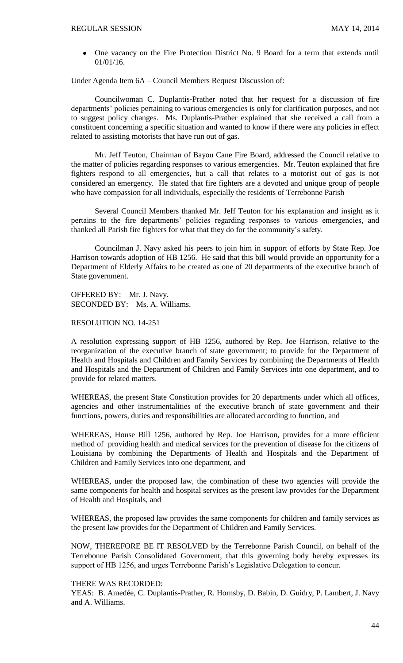One vacancy on the Fire Protection District No. 9 Board for a term that extends until 01/01/16.

Under Agenda Item 6A – Council Members Request Discussion of:

Councilwoman C. Duplantis-Prather noted that her request for a discussion of fire departments' policies pertaining to various emergencies is only for clarification purposes, and not to suggest policy changes. Ms. Duplantis-Prather explained that she received a call from a constituent concerning a specific situation and wanted to know if there were any policies in effect related to assisting motorists that have run out of gas.

Mr. Jeff Teuton, Chairman of Bayou Cane Fire Board, addressed the Council relative to the matter of policies regarding responses to various emergencies. Mr. Teuton explained that fire fighters respond to all emergencies, but a call that relates to a motorist out of gas is not considered an emergency. He stated that fire fighters are a devoted and unique group of people who have compassion for all individuals, especially the residents of Terrebonne Parish

Several Council Members thanked Mr. Jeff Teuton for his explanation and insight as it pertains to the fire departments' policies regarding responses to various emergencies, and thanked all Parish fire fighters for what that they do for the community's safety.

Councilman J. Navy asked his peers to join him in support of efforts by State Rep. Joe Harrison towards adoption of HB 1256. He said that this bill would provide an opportunity for a Department of Elderly Affairs to be created as one of 20 departments of the executive branch of State government.

OFFERED BY: Mr. J. Navy. SECONDED BY: Ms. A. Williams.

### RESOLUTION NO. 14-251

A resolution expressing support of HB 1256, authored by Rep. Joe Harrison, relative to the reorganization of the executive branch of state government; to provide for the Department of Health and Hospitals and Children and Family Services by combining the Departments of Health and Hospitals and the Department of Children and Family Services into one department, and to provide for related matters.

WHEREAS, the present State Constitution provides for 20 departments under which all offices, agencies and other instrumentalities of the executive branch of state government and their functions, powers, duties and responsibilities are allocated according to function, and

WHEREAS, House Bill 1256, authored by Rep. Joe Harrison, provides for a more efficient method of providing health and medical services for the prevention of disease for the citizens of Louisiana by combining the Departments of Health and Hospitals and the Department of Children and Family Services into one department, and

WHEREAS, under the proposed law, the combination of these two agencies will provide the same components for health and hospital services as the present law provides for the Department of Health and Hospitals, and

WHEREAS, the proposed law provides the same components for children and family services as the present law provides for the Department of Children and Family Services.

NOW, THEREFORE BE IT RESOLVED by the Terrebonne Parish Council, on behalf of the Terrebonne Parish Consolidated Government, that this governing body hereby expresses its support of HB 1256, and urges Terrebonne Parish's Legislative Delegation to concur.

#### THERE WAS RECORDED:

YEAS: B. Amedée, C. Duplantis-Prather, R. Hornsby, D. Babin, D. Guidry, P. Lambert, J. Navy and A. Williams.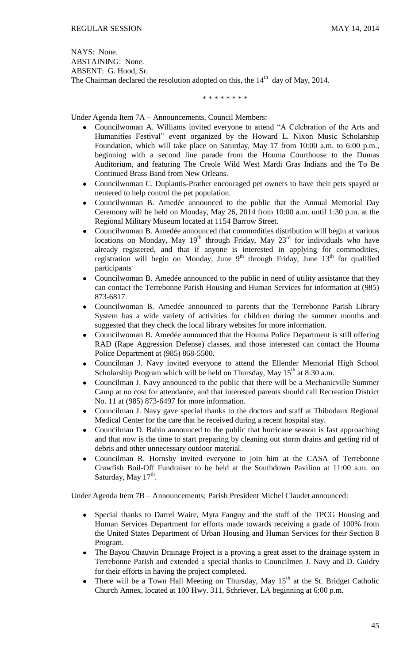NAYS: None. ABSTAINING: None. ABSENT: G. Hood, Sr. The Chairman declared the resolution adopted on this, the  $14<sup>th</sup>$  day of May, 2014.

\* \* \* \* \* \* \* \*

Under Agenda Item 7A – Announcements, Council Members:

- Councilwoman A. Williams invited everyone to attend "A Celebration of the Arts and Humanities Festival" event organized by the Howard L. Nixon Music Scholarship Foundation, which will take place on Saturday, May 17 from 10:00 a.m. to 6:00 p.m., beginning with a second line parade from the Houma Courthouse to the Dumas Auditorium, and featuring The Creole Wild West Mardi Gras Indians and the To Be Continued Brass Band from New Orleans.
- Councilwoman C. Duplantis-Prather encouraged pet owners to have their pets spayed or neutered to help control the pet population.
- Councilwoman B. Amedée announced to the public that the Annual Memorial Day Ceremony will be held on Monday, May 26, 2014 from 10:00 a.m. until 1:30 p.m. at the Regional Military Museum located at 1154 Barrow Street.
- Councilwoman B. Amedée announced that commodities distribution will begin at various  $\bullet$ locations on Monday, May  $19<sup>th</sup>$  through Friday, May  $23<sup>rd</sup>$  for individuals who have already registered, and that if anyone is interested in applying for commodities, registration will begin on Monday, June  $9<sup>th</sup>$  through Friday, June  $13<sup>th</sup>$  for qualified participants.
- Councilwoman B. Amedée announced to the public in need of utility assistance that they  $\bullet$ can contact the Terrebonne Parish Housing and Human Services for information at (985) 873-6817.
- Councilwoman B. Amedée announced to parents that the Terrebonne Parish Library System has a wide variety of activities for children during the summer months and suggested that they check the local library websites for more information.
- Councilwoman B. Amedée announced that the Houma Police Department is still offering  $\bullet$ RAD (Rape Aggression Defense) classes, and those interested can contact the Houma Police Department at (985) 868-5500.
- Councilman J. Navy invited everyone to attend the Ellender Memorial High School Scholarship Program which will be held on Thursday, May  $15<sup>th</sup>$  at 8:30 a.m.
- Councilman J. Navy announced to the public that there will be a Mechanicville Summer  $\bullet$ Camp at no cost for attendance, and that interested parents should call Recreation District No. 11 at (985) 873-6497 for more information.
- Councilman J. Navy gave special thanks to the doctors and staff at Thibodaux Regional  $\bullet$ Medical Center for the care that he received during a recent hospital stay.
- Councilman D. Babin announced to the public that hurricane season is fast approaching  $\bullet$ and that now is the time to start preparing by cleaning out storm drains and getting rid of debris and other unnecessary outdoor material.
- Councilman R. Hornsby invited everyone to join him at the CASA of Terrebonne Crawfish Boil-Off Fundraiser to be held at the Southdown Pavilion at 11:00 a.m. on Saturday, May  $17<sup>th</sup>$ .

Under Agenda Item 7B – Announcements; Parish President Michel Claudet announced:

- $\bullet$ Special thanks to Darrel Waire, Myra Fanguy and the staff of the TPCG Housing and Human Services Department for efforts made towards receiving a grade of 100% from the United States Department of Urban Housing and Human Services for their Section 8 Program.
- The Bayou Chauvin Drainage Project is a proving a great asset to the drainage system in  $\bullet$ Terrebonne Parish and extended a special thanks to Councilmen J. Navy and D. Guidry for their efforts in having the project completed.
- There will be a Town Hall Meeting on Thursday, May  $15<sup>th</sup>$  at the St. Bridget Catholic Church Annex, located at 100 Hwy. 311, Schriever, LA beginning at 6:00 p.m.